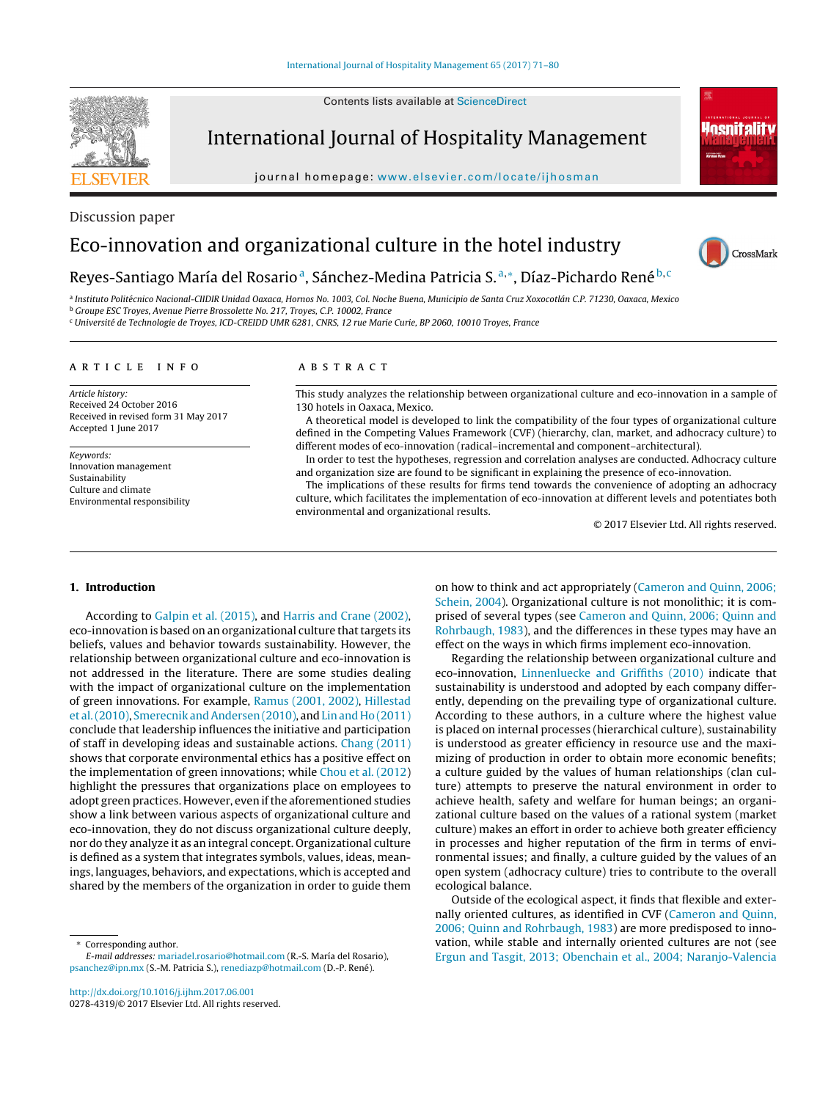Contents lists available at [ScienceDirect](http://www.sciencedirect.com/science/journal/02784319)

# **SEVIER**

International Journal of Hospitality Management

journal homepage: [www.elsevier.com/locate/ijhosman](http://www.elsevier.com/locate/ijhosman)



# Discussion paper

# Eco-innovation and organizational culture in the hotel industry



# Reyes-Santiago María del Rosario<sup>a</sup>, Sánchez-Medina Patricia S.<sup>a,∗</sup>, Díaz-Pichardo René<sup>b, c</sup>

<sup>a</sup> Instituto Politécnico Nacional-CIIDIR Unidad Oaxaca, Hornos No. 1003, Col. Noche Buena, Municipio de Santa Cruz Xoxocotlán C.P. 71230, Oaxaca, Mexico

<sup>b</sup> Groupe ESC Troyes, Avenue Pierre Brossolette No. 217, Troyes, C.P. 10002, France

<sup>c</sup> Université de Technologie de Troyes, ICD-CREIDD UMR 6281, CNRS, 12 rue Marie Curie, BP 2060, 10010 Troyes, France

# a r t i c l e i n f o

Article history: Received 24 October 2016 Received in revised form 31 May 2017 Accepted 1 June 2017

Keywords: Innovation management Sustainability Culture and climate Environmental responsibility

# A B S T R A C T

This study analyzes the relationship between organizational culture and eco-innovation in a sample of 130 hotels in Oaxaca, Mexico.

A theoretical model is developed to link the compatibility of the four types of organizational culture defined in the Competing Values Framework (CVF) (hierarchy, clan, market, and adhocracy culture) to different modes of eco-innovation (radical–incremental and component–architectural).

In order to test the hypotheses, regression and correlation analyses are conducted. Adhocracy culture and organization size are found to be significant in explaining the presence of eco-innovation.

The implications of these results for firms tend towards the convenience of adopting an adhocracy culture, which facilitates the implementation of eco-innovation at different levels and potentiates both environmental and organizational results.

© 2017 Elsevier Ltd. All rights reserved.

#### **1. Introduction**

According to [Galpin](#page-8-0) et [al.](#page-8-0) [\(2015\),](#page-8-0) and [Harris](#page-8-0) [and](#page-8-0) [Crane](#page-8-0) [\(2002\),](#page-8-0) eco-innovation is based on an organizational culture that targets its beliefs, values and behavior towards sustainability. However, the relationship between organizational culture and eco-innovation is not addressed in the literature. There are some studies dealing with the impact of organizational culture on the implementation of green innovations. For example, [Ramus](#page-8-0) [\(2001,](#page-8-0) [2002\),](#page-8-0) [Hillestad](#page-8-0) et [al.\(2010\),](#page-8-0) [Smerecnik](#page-9-0) [andAndersen](#page-9-0) [\(2010\),](#page-9-0) and [Lin](#page-8-0) [and](#page-8-0) [Ho](#page-8-0) [\(2011\)](#page-8-0) conclude that leadership influences the initiative and participation of staff in developing ideas and sustainable actions. [Chang](#page-8-0) [\(2011\)](#page-8-0) shows that corporate environmental ethics has a positive effect on the implementation of green innovations; while [Chou](#page-8-0) et [al.](#page-8-0) [\(2012\)](#page-8-0) highlight the pressures that organizations place on employees to adopt green practices. However, even if the aforementioned studies show a link between various aspects of organizational culture and eco-innovation, they do not discuss organizational culture deeply, nor do they analyze it as an integral concept. Organizational culture is defined as a system that integrates symbols, values, ideas, meanings, languages, behaviors, and expectations, which is accepted and shared by the members of the organization in order to guide them

Corresponding author.

E-mail addresses: [mariadel.rosario@hotmail.com](mailto:mariadel.rosario@hotmail.com) (R.-S. María del Rosario), [psanchez@ipn.mx](mailto:psanchez@ipn.mx) (S.-M. Patricia S.), [renediazp@hotmail.com](mailto:renediazp@hotmail.com) (D.-P. René).

on how to think and act appropriately ([Cameron](#page-7-0) [and](#page-7-0) [Quinn,](#page-7-0) [2006;](#page-7-0) [Schein,](#page-7-0) [2004\).](#page-7-0) Organizational culture is not monolithic; it is comprised of several types (see [Cameron](#page-7-0) [and](#page-7-0) [Quinn,](#page-7-0) [2006;](#page-7-0) [Quinn](#page-7-0) [and](#page-7-0) [Rohrbaugh,](#page-7-0) [1983\),](#page-7-0) and the differences in these types may have an effect on the ways in which firms implement eco-innovation.

Regarding the relationship between organizational culture and eco-innovation, [Linnenluecke](#page-8-0) [and](#page-8-0) [Griffiths](#page-8-0) [\(2010\)](#page-8-0) indicate that sustainability is understood and adopted by each company differently, depending on the prevailing type of organizational culture. According to these authors, in a culture where the highest value is placed on internal processes (hierarchical culture), sustainability is understood as greater efficiency in resource use and the maximizing of production in order to obtain more economic benefits; a culture guided by the values of human relationships (clan culture) attempts to preserve the natural environment in order to achieve health, safety and welfare for human beings; an organizational culture based on the values of a rational system (market culture) makes an effort in order to achieve both greater efficiency in processes and higher reputation of the firm in terms of environmental issues; and finally, a culture guided by the values of an open system (adhocracy culture) tries to contribute to the overall ecological balance.

Outside of the ecological aspect, it finds that flexible and externally oriented cultures, as identified in CVF ([Cameron](#page-7-0) [and](#page-7-0) [Quinn,](#page-7-0) [2006;](#page-7-0) [Quinn](#page-7-0) [and](#page-7-0) [Rohrbaugh,](#page-7-0) [1983\)](#page-7-0) are more predisposed to innovation, while stable and internally oriented cultures are not (see [Ergun](#page-8-0) [and](#page-8-0) [Tasgit,](#page-8-0) [2013;](#page-8-0) [Obenchain](#page-8-0) et [al.,](#page-8-0) [2004;](#page-8-0) [Naranjo-Valencia](#page-8-0)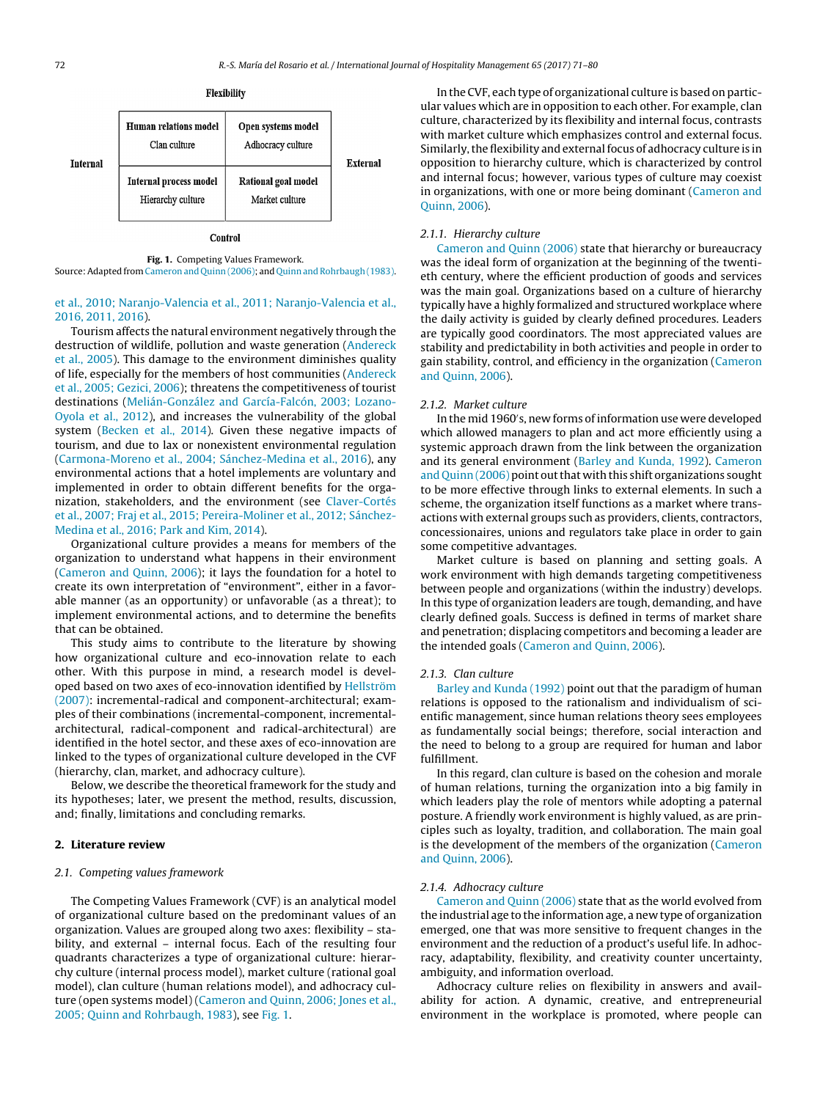

Control

**Fig. 1.** Competing Values Framework. Source: Adapted from Cameron and Quinn (2006); and Quinn and Rohrbaugh (1983).

# et [al.,](#page-8-0) [2010;](#page-8-0) [Naranjo-Valencia](#page-8-0) et [al.,](#page-8-0) [2011;](#page-8-0) [Naranjo-Valencia](#page-8-0) et [al.,](#page-8-0) [2016,](#page-8-0) [2011,](#page-8-0) [2016\).](#page-8-0)

Tourism affects the natural environment negatively through the destruction of wildlife, pollution and waste generation [\(Andereck](#page-7-0) et [al.,](#page-7-0) [2005\).](#page-7-0) This damage to the environment diminishes quality of life, especially for the members of host communities [\(Andereck](#page-7-0) et [al.,](#page-7-0) [2005;](#page-7-0) [Gezici,](#page-7-0) [2006\);](#page-7-0) threatens the competitiveness of tourist destinations [\(Melián-González](#page-8-0) [and](#page-8-0) [García-Falcón,](#page-8-0) [2003;](#page-8-0) [Lozano-](#page-8-0)Oyola et [al.,](#page-8-0) [2012\),](#page-8-0) and increases the vulnerability of the global system [\(Becken](#page-7-0) et [al.,](#page-7-0) [2014\).](#page-7-0) Given these negative impacts of tourism, and due to lax or nonexistent environmental regulation ([Carmona-Moreno](#page-7-0) et [al.,](#page-7-0) [2004;](#page-7-0) [Sánchez-Medina](#page-7-0) et [al.,](#page-7-0) [2016\),](#page-7-0) any environmental actions that a hotel implements are voluntary and implemented in order to obtain different benefits for the organization, stakeholders, and the environment (see [Claver-Cortés](#page-8-0) et [al.,](#page-8-0) [2007;](#page-8-0) [Fraj](#page-8-0) et [al.,](#page-8-0) [2015;](#page-8-0) [Pereira-Moliner](#page-8-0) et [al.,](#page-8-0) [2012;](#page-8-0) [Sánchez-](#page-8-0)Medina et [al.,](#page-8-0) [2016;](#page-8-0) [Park](#page-8-0) [and](#page-8-0) [Kim,](#page-8-0) [2014\).](#page-8-0)

Organizational culture provides a means for members of the organization to understand what happens in their environment ([Cameron](#page-7-0) [and](#page-7-0) [Quinn,](#page-7-0) [2006\);](#page-7-0) it lays the foundation for a hotel to create its own interpretation of "environment", either in a favorable manner (as an opportunity) or unfavorable (as a threat); to implement environmental actions, and to determine the benefits that can be obtained.

This study aims to contribute to the literature by showing how organizational culture and eco-innovation relate to each other. With this purpose in mind, a research model is developed based on two axes of eco-innovation identified by [Hellström](#page-8-0) [\(2007\):](#page-8-0) incremental-radical and component-architectural; examples of their combinations (incremental-component, incrementalarchitectural, radical-component and radical-architectural) are identified in the hotel sector, and these axes of eco-innovation are linked to the types of organizational culture developed in the CVF (hierarchy, clan, market, and adhocracy culture).

Below, we describe the theoretical framework for the study and its hypotheses; later, we present the method, results, discussion, and; finally, limitations and concluding remarks.

# **2. Literature review**

# 2.1. Competing values framework

The Competing Values Framework (CVF) is an analytical model of organizational culture based on the predominant values of an organization. Values are grouped along two axes: flexibility – stability, and external – internal focus. Each of the resulting four quadrants characterizes a type of organizational culture: hierarchy culture (internal process model), market culture (rational goal model), clan culture (human relations model), and adhocracy culture (open systems model) [\(Cameron](#page-7-0) [and](#page-7-0) [Quinn,](#page-7-0) [2006;](#page-7-0) [Jones](#page-7-0) et [al.,](#page-7-0) [2005;](#page-7-0) [Quinn](#page-7-0) [and](#page-7-0) [Rohrbaugh,](#page-7-0) [1983\),](#page-7-0) see Fig. 1.

In the CVF, each type of organizational culture is based on particular values which are in opposition to each other. For example, clan culture, characterized by its flexibility and internal focus, contrasts with market culture which emphasizes control and external focus. Similarly, the flexibility and external focus of adhocracy culture is in opposition to hierarchy culture, which is characterized by control and internal focus; however, various types of culture may coexist in organizations, with one or more being dominant [\(Cameron](#page-7-0) [and](#page-7-0) [Quinn,](#page-7-0) [2006\).](#page-7-0)

# 2.1.1. Hierarchy culture

[Cameron](#page-7-0) [and](#page-7-0) [Quinn](#page-7-0) [\(2006\)](#page-7-0) state that hierarchy or bureaucracy was the ideal form of organization at the beginning of the twentieth century, where the efficient production of goods and services was the main goal. Organizations based on a culture of hierarchy typically have a highly formalized and structured workplace where the daily activity is guided by clearly defined procedures. Leaders are typically good coordinators. The most appreciated values are stability and predictability in both activities and people in order to gain stability, control, and efficiency in the organization ([Cameron](#page-7-0) [and](#page-7-0) [Quinn,](#page-7-0) [2006\).](#page-7-0)

#### 2.1.2. Market culture

In the mid 1960 s, new forms of information use were developed which allowed managers to plan and act more efficiently using a systemic approach drawn from the link between the organization and its general environment ([Barley](#page-7-0) [and](#page-7-0) [Kunda,](#page-7-0) [1992\).](#page-7-0) [Cameron](#page-7-0) [and](#page-7-0) [Quinn](#page-7-0) [\(2006\)](#page-7-0) point out that with this shift organizations sought to be more effective through links to external elements. In such a scheme, the organization itself functions as a market where transactions with external groups such as providers, clients, contractors, concessionaires, unions and regulators take place in order to gain some competitive advantages.

Market culture is based on planning and setting goals. A work environment with high demands targeting competitiveness between people and organizations (within the industry) develops. In this type of organization leaders are tough, demanding, and have clearly defined goals. Success is defined in terms of market share and penetration; displacing competitors and becoming a leader are the intended goals [\(Cameron](#page-7-0) [and](#page-7-0) [Quinn,](#page-7-0) [2006\).](#page-7-0)

#### 2.1.3. Clan culture

[Barley](#page-7-0) [and](#page-7-0) [Kunda](#page-7-0) [\(1992\)](#page-7-0) point out that the paradigm of human relations is opposed to the rationalism and individualism of scientific management, since human relations theory sees employees as fundamentally social beings; therefore, social interaction and the need to belong to a group are required for human and labor fulfillment.

In this regard, clan culture is based on the cohesion and morale of human relations, turning the organization into a big family in which leaders play the role of mentors while adopting a paternal posture. A friendly work environment is highly valued, as are principles such as loyalty, tradition, and collaboration. The main goal is the development of the members of the organization ([Cameron](#page-7-0) [and](#page-7-0) [Quinn,](#page-7-0) [2006\).](#page-7-0)

# 2.1.4. Adhocracy culture

[Cameron](#page-7-0) [and](#page-7-0) [Quinn](#page-7-0) [\(2006\)](#page-7-0) state that as the world evolved from the industrial age to the information age, a new type of organization emerged, one that was more sensitive to frequent changes in the environment and the reduction of a product's useful life. In adhocracy, adaptability, flexibility, and creativity counter uncertainty, ambiguity, and information overload.

Adhocracy culture relies on flexibility in answers and availability for action. A dynamic, creative, and entrepreneurial environment in the workplace is promoted, where people can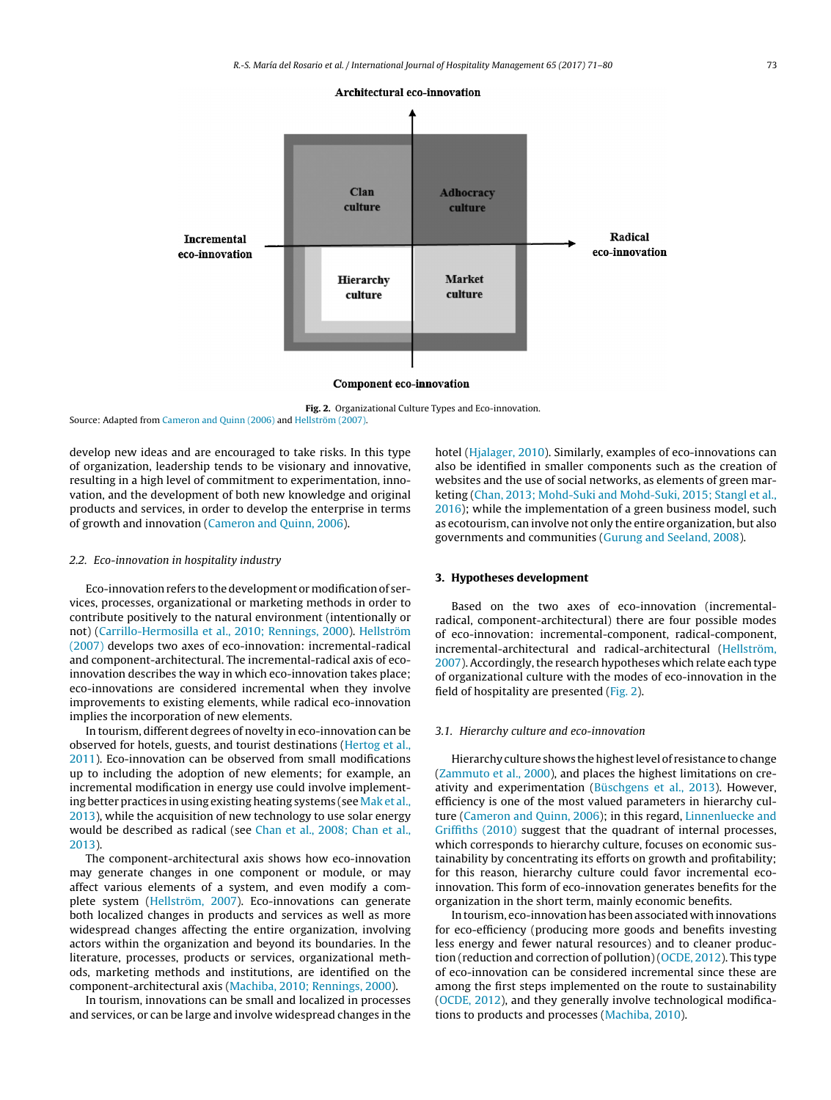

**Fig. 2.** Organizational Culture Types and Eco-innovation. Source: Adapted from [Cameron](#page-7-0) [and](#page-7-0) [Quinn](#page-7-0) [\(2006\)](#page-7-0) and [Hellström](#page-8-0) [\(2007\).](#page-8-0)

develop new ideas and are encouraged to take risks. In this type of organization, leadership tends to be visionary and innovative, resulting in a high level of commitment to experimentation, innovation, and the development of both new knowledge and original products and services, in order to develop the enterprise in terms of growth and innovation ([Cameron](#page-7-0) [and](#page-7-0) [Quinn,](#page-7-0) [2006\).](#page-7-0)

#### 2.2. Eco-innovation in hospitality industry

Eco-innovation refers to the development or modification of services, processes, organizational or marketing methods in order to contribute positively to the natural environment (intentionally or not) [\(Carrillo-Hermosilla](#page-8-0) et [al.,](#page-8-0) [2010;](#page-8-0) [Rennings,](#page-8-0) [2000\).](#page-8-0) [Hellström](#page-8-0) [\(2007\)](#page-8-0) develops two axes of eco-innovation: incremental-radical and component-architectural. The incremental-radical axis of ecoinnovation describes the way in which eco-innovation takes place; eco-innovations are considered incremental when they involve improvements to existing elements, while radical eco-innovation implies the incorporation of new elements.

In tourism, different degrees of novelty in eco-innovation can be observed for hotels, guests, and tourist destinations [\(Hertog](#page-8-0) et [al.,](#page-8-0) [2011\).](#page-8-0) Eco-innovation can be observed from small modifications up to including the adoption of new elements; for example, an incremental modification in energy use could involve implement-ing better practices in using existing heating systems (see [Mak](#page-8-0) et [al.,](#page-8-0) [2013\),](#page-8-0) while the acquisition of new technology to use solar energy would be described as radical (see [Chan](#page-8-0) et [al.,](#page-8-0) [2008;](#page-8-0) [Chan](#page-8-0) et [al.,](#page-8-0) [2013\).](#page-8-0)

The component-architectural axis shows how eco-innovation may generate changes in one component or module, or may affect various elements of a system, and even modify a complete system ([Hellström,](#page-8-0) [2007\).](#page-8-0) Eco-innovations can generate both localized changes in products and services as well as more widespread changes affecting the entire organization, involving actors within the organization and beyond its boundaries. In the literature, processes, products or services, organizational methods, marketing methods and institutions, are identified on the component-architectural axis ([Machiba,](#page-8-0) [2010;](#page-8-0) [Rennings,](#page-8-0) [2000\).](#page-8-0)

In tourism, innovations can be small and localized in processes and services, or can be large and involve widespread changes in the hotel [\(Hjalager,](#page-8-0) [2010\).](#page-8-0) Similarly, examples of eco-innovations can also be identified in smaller components such as the creation of websites and the use of social networks, as elements of green marketing [\(Chan,](#page-8-0) [2013;](#page-8-0) [Mohd-Suki](#page-8-0) [and](#page-8-0) [Mohd-Suki,](#page-8-0) [2015;](#page-8-0) [Stangl](#page-8-0) et [al.,](#page-8-0) [2016\);](#page-8-0) while the implementation of a green business model, such as ecotourism, can involve not only the entire organization, but also governments and communities [\(Gurung](#page-8-0) [and](#page-8-0) [Seeland,](#page-8-0) [2008\).](#page-8-0)

#### **3. Hypotheses development**

Based on the two axes of eco-innovation (incrementalradical, component-architectural) there are four possible modes of eco-innovation: incremental-component, radical-component, incremental-architectural and radical-architectural ([Hellström,](#page-8-0) [2007\).](#page-8-0) Accordingly, the research hypotheses which relate each type of organizational culture with the modes of eco-innovation in the field of hospitality are presented (Fig. 2).

# 3.1. Hierarchy culture and eco-innovation

Hierarchy culture shows the highest level of resistance to change [\(Zammuto](#page-9-0) et [al.,](#page-9-0) [2000\),](#page-9-0) and places the highest limitations on creativity and experimentation [\(Büschgens](#page-7-0) et [al.,](#page-7-0) [2013\).](#page-7-0) However, efficiency is one of the most valued parameters in hierarchy culture [\(Cameron](#page-7-0) [and](#page-7-0) [Quinn,](#page-7-0) [2006\);](#page-7-0) in this regard, [Linnenluecke](#page-8-0) [and](#page-8-0) [Griffiths](#page-8-0) [\(2010\)](#page-8-0) suggest that the quadrant of internal processes, which corresponds to hierarchy culture, focuses on economic sustainability by concentrating its efforts on growth and profitability; for this reason, hierarchy culture could favor incremental ecoinnovation. This form of eco-innovation generates benefits for the organization in the short term, mainly economic benefits.

In tourism, eco-innovation has been associated with innovations for eco-efficiency (producing more goods and benefits investing less energy and fewer natural resources) and to cleaner production (reduction and correction of pollution) ([OCDE,](#page-8-0) [2012\).](#page-8-0) This type of eco-innovation can be considered incremental since these are among the first steps implemented on the route to sustainability [\(OCDE,](#page-8-0) [2012\),](#page-8-0) and they generally involve technological modifications to products and processes [\(Machiba,](#page-8-0) [2010\).](#page-8-0)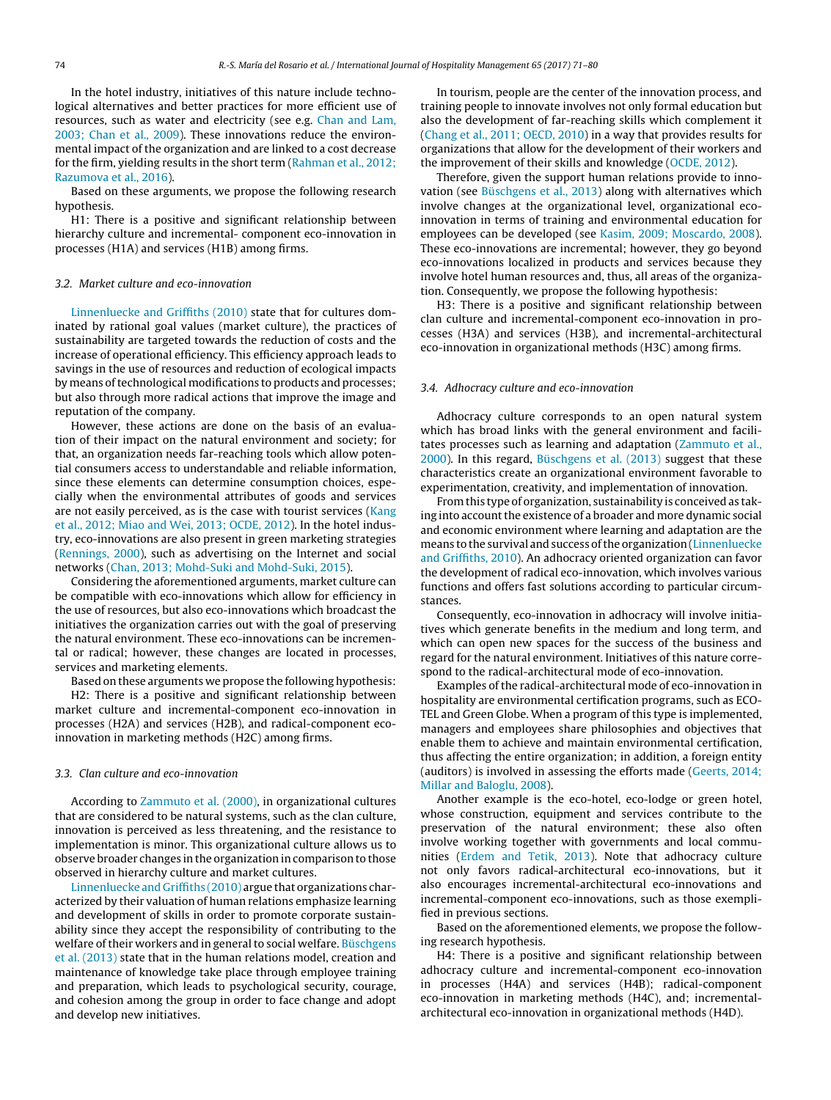In the hotel industry, initiatives of this nature include technological alternatives and better practices for more efficient use of resources, such as water and electricity (see e.g. [Chan](#page-8-0) [and](#page-8-0) [Lam,](#page-8-0) [2003;](#page-8-0) [Chan](#page-8-0) et [al.,](#page-8-0) [2009\).](#page-8-0) These innovations reduce the environmental impact of the organization and are linked to a cost decrease for the firm, yielding results in the short term ([Rahman](#page-8-0) et [al.,](#page-8-0) [2012;](#page-8-0) [Razumova](#page-8-0) et [al.,](#page-8-0) [2016\).](#page-8-0)

Based on these arguments, we propose the following research hypothesis.

H1: There is a positive and significant relationship between hierarchy culture and incremental- component eco-innovation in processes (H1A) and services (H1B) among firms.

# 3.2. Market culture and eco-innovation

[Linnenluecke](#page-8-0) [and](#page-8-0) [Griffiths](#page-8-0) [\(2010\)](#page-8-0) state that for cultures dominated by rational goal values (market culture), the practices of sustainability are targeted towards the reduction of costs and the increase of operational efficiency. This efficiency approach leads to savings in the use of resources and reduction of ecological impacts by means of technological modifications to products and processes; but also through more radical actions that improve the image and reputation of the company.

However, these actions are done on the basis of an evaluation of their impact on the natural environment and society; for that, an organization needs far-reaching tools which allow potential consumers access to understandable and reliable information, since these elements can determine consumption choices, especially when the environmental attributes of goods and services are not easily perceived, as is the case with tourist services [\(Kang](#page-8-0) et [al.,](#page-8-0) [2012;](#page-8-0) [Miao](#page-8-0) [and](#page-8-0) [Wei,](#page-8-0) [2013;](#page-8-0) [OCDE,](#page-8-0) [2012\).](#page-8-0) In the hotel industry, eco-innovations are also present in green marketing strategies ([Rennings,](#page-8-0) [2000\),](#page-8-0) such as advertising on the Internet and social networks [\(Chan,](#page-8-0) [2013;](#page-8-0) [Mohd-Suki](#page-8-0) [and](#page-8-0) [Mohd-Suki,](#page-8-0) [2015\).](#page-8-0)

Considering the aforementioned arguments, market culture can be compatible with eco-innovations which allow for efficiency in the use of resources, but also eco-innovations which broadcast the initiatives the organization carries out with the goal of preserving the natural environment. These eco-innovations can be incremental or radical; however, these changes are located in processes, services and marketing elements.

Based on these arguments we propose the following hypothesis: H2: There is a positive and significant relationship between market culture and incremental-component eco-innovation in processes (H2A) and services (H2B), and radical-component ecoinnovation in marketing methods (H2C) among firms.

# 3.3. Clan culture and eco-innovation

According to [Zammuto](#page-9-0) et [al.](#page-9-0) [\(2000\),](#page-9-0) in organizational cultures that are considered to be natural systems, such as the clan culture, innovation is perceived as less threatening, and the resistance to implementation is minor. This organizational culture allows us to observe broader changes in the organization in comparison to those observed in hierarchy culture and market cultures.

[Linnenluecke](#page-8-0) [and](#page-8-0) [Griffiths](#page-8-0) [\(2010\)](#page-8-0) argue that organizations characterized by their valuation of human relations emphasize learning and development of skills in order to promote corporate sustainability since they accept the responsibility of contributing to the welfare of their workers and in general to social welfare. [Büschgens](#page-7-0) et [al.](#page-7-0) [\(2013\)](#page-7-0) state that in the human relations model, creation and maintenance of knowledge take place through employee training and preparation, which leads to psychological security, courage, and cohesion among the group in order to face change and adopt and develop new initiatives.

In tourism, people are the center of the innovation process, and training people to innovate involves not only formal education but also the development of far-reaching skills which complement it [\(Chang](#page-8-0) et [al.,](#page-8-0) [2011;](#page-8-0) [OECD,](#page-8-0) [2010\)](#page-8-0) in a way that provides results for organizations that allow for the development of their workers and the improvement of their skills and knowledge [\(OCDE,](#page-8-0) [2012\).](#page-8-0)

Therefore, given the support human relations provide to innovation (see [Büschgens](#page-7-0) et [al.,](#page-7-0) [2013\)](#page-7-0) along with alternatives which involve changes at the organizational level, organizational ecoinnovation in terms of training and environmental education for employees can be developed (see [Kasim,](#page-8-0) [2009;](#page-8-0) [Moscardo,](#page-8-0) [2008\).](#page-8-0) These eco-innovations are incremental; however, they go beyond eco-innovations localized in products and services because they involve hotel human resources and, thus, all areas of the organization. Consequently, we propose the following hypothesis:

H3: There is a positive and significant relationship between clan culture and incremental-component eco-innovation in processes (H3A) and services (H3B), and incremental-architectural eco-innovation in organizational methods (H3C) among firms.

#### 3.4. Adhocracy culture and eco-innovation

Adhocracy culture corresponds to an open natural system which has broad links with the general environment and facilitates processes such as learning and adaptation [\(Zammuto](#page-9-0) et [al.,](#page-9-0) [2000\).](#page-9-0) In this regard, [Büschgens](#page-7-0) et [al.](#page-7-0) [\(2013\)](#page-7-0) suggest that these characteristics create an organizational environment favorable to experimentation, creativity, and implementation of innovation.

Fromthis type of organization, sustainability is conceived as taking into account the existence of a broader and more dynamic social and economic environment where learning and adaptation are the means to the survival and success of the organization [\(Linnenluecke](#page-8-0) [and](#page-8-0) [Griffiths,](#page-8-0) [2010\).](#page-8-0) An adhocracy oriented organization can favor the development of radical eco-innovation, which involves various functions and offers fast solutions according to particular circumstances.

Consequently, eco-innovation in adhocracy will involve initiatives which generate benefits in the medium and long term, and which can open new spaces for the success of the business and regard for the natural environment. Initiatives of this nature correspond to the radical-architectural mode of eco-innovation.

Examples of the radical-architectural mode of eco-innovation in hospitality are environmental certification programs, such as ECO-TEL and Green Globe. When a program of this type is implemented, managers and employees share philosophies and objectives that enable them to achieve and maintain environmental certification, thus affecting the entire organization; in addition, a foreign entity (auditors) is involved in assessing the efforts made ([Geerts,](#page-8-0) [2014;](#page-8-0) [Millar](#page-8-0) [and](#page-8-0) [Baloglu,](#page-8-0) [2008\).](#page-8-0)

Another example is the eco-hotel, eco-lodge or green hotel, whose construction, equipment and services contribute to the preservation of the natural environment; these also often involve working together with governments and local communities ([Erdem](#page-8-0) [and](#page-8-0) [Tetik,](#page-8-0) [2013\).](#page-8-0) Note that adhocracy culture not only favors radical-architectural eco-innovations, but it also encourages incremental-architectural eco-innovations and incremental-component eco-innovations, such as those exemplified in previous sections.

Based on the aforementioned elements, we propose the following research hypothesis.

H4: There is a positive and significant relationship between adhocracy culture and incremental-component eco-innovation in processes (H4A) and services (H4B); radical-component eco-innovation in marketing methods (H4C), and; incrementalarchitectural eco-innovation in organizational methods (H4D).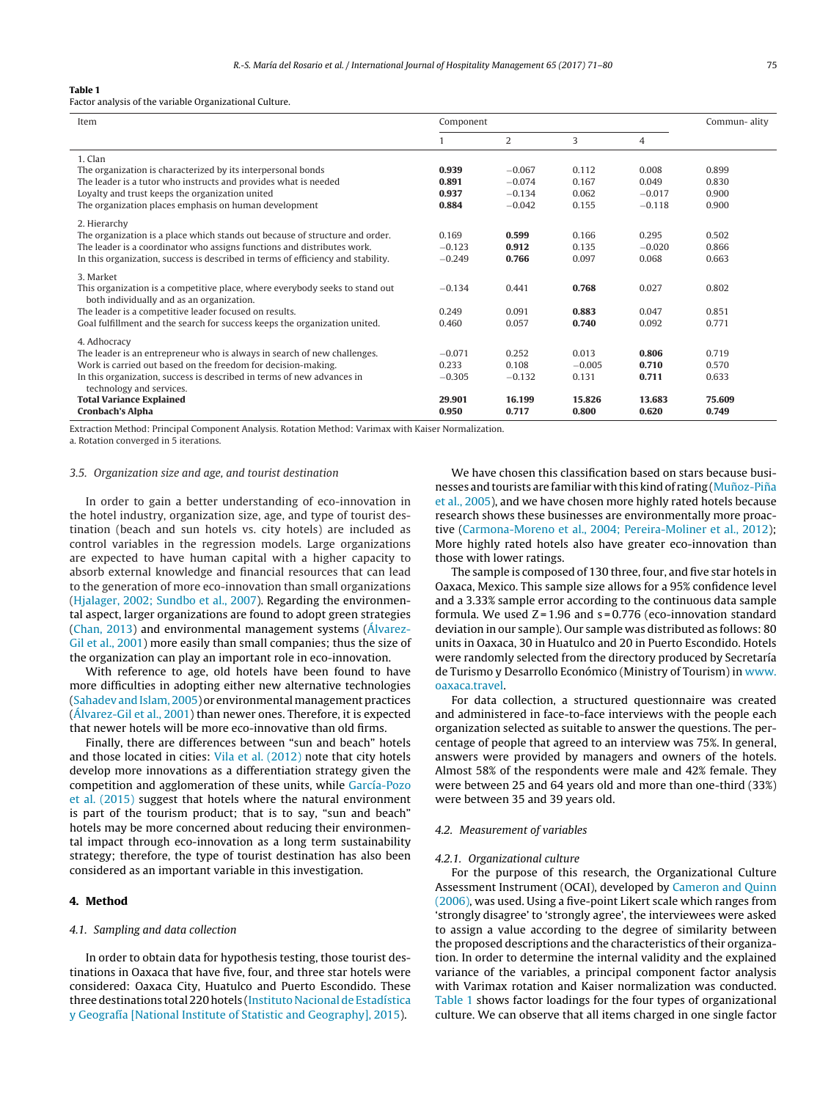#### **Table 1**

Factor analysis of the variable Organizational Culture.

| Item                                                                             | Component |                |          |          | Commun-ality |  |
|----------------------------------------------------------------------------------|-----------|----------------|----------|----------|--------------|--|
|                                                                                  |           | $\overline{2}$ | 3        | 4        |              |  |
| 1. Clan                                                                          |           |                |          |          |              |  |
| The organization is characterized by its interpersonal bonds                     | 0.939     | $-0.067$       | 0.112    | 0.008    | 0.899        |  |
| The leader is a tutor who instructs and provides what is needed                  | 0.891     | $-0.074$       | 0.167    | 0.049    | 0.830        |  |
| Loyalty and trust keeps the organization united                                  | 0.937     | $-0.134$       | 0.062    | $-0.017$ | 0.900        |  |
| The organization places emphasis on human development                            | 0.884     | $-0.042$       | 0.155    | $-0.118$ | 0.900        |  |
| 2. Hierarchy                                                                     |           |                |          |          |              |  |
| The organization is a place which stands out because of structure and order.     | 0.169     | 0.599          | 0.166    | 0.295    | 0.502        |  |
| The leader is a coordinator who assigns functions and distributes work.          | $-0.123$  | 0.912          | 0.135    | $-0.020$ | 0.866        |  |
| In this organization, success is described in terms of efficiency and stability. | $-0.249$  | 0.766          | 0.097    | 0.068    | 0.663        |  |
| 3. Market                                                                        |           |                |          |          |              |  |
| This organization is a competitive place, where everybody seeks to stand out     | $-0.134$  | 0.441          | 0.768    | 0.027    | 0.802        |  |
| both individually and as an organization.                                        |           |                |          |          |              |  |
| The leader is a competitive leader focused on results.                           | 0.249     | 0.091          | 0.883    | 0.047    | 0.851        |  |
| Goal fulfillment and the search for success keeps the organization united.       | 0.460     | 0.057          | 0.740    | 0.092    | 0.771        |  |
| 4. Adhocracy                                                                     |           |                |          |          |              |  |
| The leader is an entrepreneur who is always in search of new challenges.         | $-0.071$  | 0.252          | 0.013    | 0.806    | 0.719        |  |
| Work is carried out based on the freedom for decision-making.                    | 0.233     | 0.108          | $-0.005$ | 0.710    | 0.570        |  |
| In this organization, success is described in terms of new advances in           | $-0.305$  | $-0.132$       | 0.131    | 0.711    | 0.633        |  |
| technology and services.                                                         |           |                |          |          |              |  |
| <b>Total Variance Explained</b>                                                  | 29.901    | 16.199         | 15.826   | 13.683   | 75.609       |  |
| <b>Cronbach's Alpha</b>                                                          | 0.950     | 0.717          | 0.800    | 0.620    | 0.749        |  |

Extraction Method: Principal Component Analysis. Rotation Method: Varimax with Kaiser Normalization.

a. Rotation converged in 5 iterations.

#### 3.5. Organization size and age, and tourist destination

In order to gain a better understanding of eco-innovation in the hotel industry, organization size, age, and type of tourist destination (beach and sun hotels vs. city hotels) are included as control variables in the regression models. Large organizations are expected to have human capital with a higher capacity to absorb external knowledge and financial resources that can lead to the generation of more eco-innovation than small organizations ([Hjalager,](#page-8-0) [2002;](#page-8-0) [Sundbo](#page-8-0) et [al.,](#page-8-0) [2007\).](#page-8-0) Regarding the environmental aspect, larger organizations are found to adopt green strategies ([Chan,](#page-8-0) [2013\)](#page-8-0) and environmental management systems [\(Álvarez-](#page-7-0)Gil et [al.,](#page-7-0) [2001\)](#page-7-0) more easily than small companies; thus the size of the organization can play an important role in eco-innovation.

With reference to age, old hotels have been found to have more difficulties in adopting either new alternative technologies ([Sahadev](#page-9-0) and Islam, [2005\)](#page-9-0) or environmental management practices ([Álvarez-Gil](#page-7-0) et [al.,](#page-7-0) [2001\)](#page-7-0) than newer ones. Therefore, it is expected that newer hotels will be more eco-innovative than old firms.

Finally, there are differences between "sun and beach" hotels and those located in cities: [Vila](#page-9-0) et [al.](#page-9-0) [\(2012\)](#page-9-0) note that city hotels develop more innovations as a differentiation strategy given the competition and agglomeration of these units, while [García-Pozo](#page-8-0) et [al.](#page-8-0) [\(2015\)](#page-8-0) suggest that hotels where the natural environment is part of the tourism product; that is to say, "sun and beach" hotels may be more concerned about reducing their environmental impact through eco-innovation as a long term sustainability strategy; therefore, the type of tourist destination has also been considered as an important variable in this investigation.

# **4. Method**

#### 4.1. Sampling and data collection

In order to obtain data for hypothesis testing, those tourist destinations in Oaxaca that have five, four, and three star hotels were considered: Oaxaca City, Huatulco and Puerto Escondido. These three destinations total 220 hotels [\(Instituto](#page-8-0) Nacional de [Estadística](#page-8-0) [y](#page-8-0) [Geografía](#page-8-0) [\[National](#page-8-0) [Institute](#page-8-0) [of](#page-8-0) [Statistic](#page-8-0) [and](#page-8-0) [Geography\],](#page-8-0) [2015\).](#page-8-0)

We have chosen this classification based on stars because businesses and tourists are familiar with this kind of rating (Muñoz-Piña et [al.,](#page-8-0) [2005\),](#page-8-0) and we have chosen more highly rated hotels because research shows these businesses are environmentally more proactive ([Carmona-Moreno](#page-7-0) et [al.,](#page-7-0) [2004;](#page-7-0) [Pereira-Moliner](#page-7-0) et [al.,](#page-7-0) [2012\);](#page-7-0) More highly rated hotels also have greater eco-innovation than those with lower ratings.

The sample is composed of 130 three, four, and five star hotels in Oaxaca, Mexico. This sample size allows for a 95% confidence level and a 3.33% sample error according to the continuous data sample formula. We used  $Z = 1.96$  and  $s = 0.776$  (eco-innovation standard deviation in our sample). Our sample was distributed as follows: 80 units in Oaxaca, 30 in Huatulco and 20 in Puerto Escondido. Hotels were randomly selected from the directory produced by Secretaría de Turismo y Desarrollo Económico (Ministry of Tourism) in [www.](http://www.oaxaca.travel) [oaxaca.travel](http://www.oaxaca.travel).

For data collection, a structured questionnaire was created and administered in face-to-face interviews with the people each organization selected as suitable to answer the questions. The percentage of people that agreed to an interview was 75%. In general, answers were provided by managers and owners of the hotels. Almost 58% of the respondents were male and 42% female. They were between 25 and 64 years old and more than one-third (33%) were between 35 and 39 years old.

# 4.2. Measurement of variables

#### 4.2.1. Organizational culture

For the purpose of this research, the Organizational Culture Assessment Instrument (OCAI), developed by [Cameron](#page-7-0) [and](#page-7-0) [Quinn](#page-7-0) [\(2006\),](#page-7-0) was used. Using a five-point Likert scale which ranges from 'strongly disagree' to 'strongly agree', the interviewees were asked to assign a value according to the degree of similarity between the proposed descriptions and the characteristics of their organization. In order to determine the internal validity and the explained variance of the variables, a principal component factor analysis with Varimax rotation and Kaiser normalization was conducted. Table 1 shows factor loadings for the four types of organizational culture. We can observe that all items charged in one single factor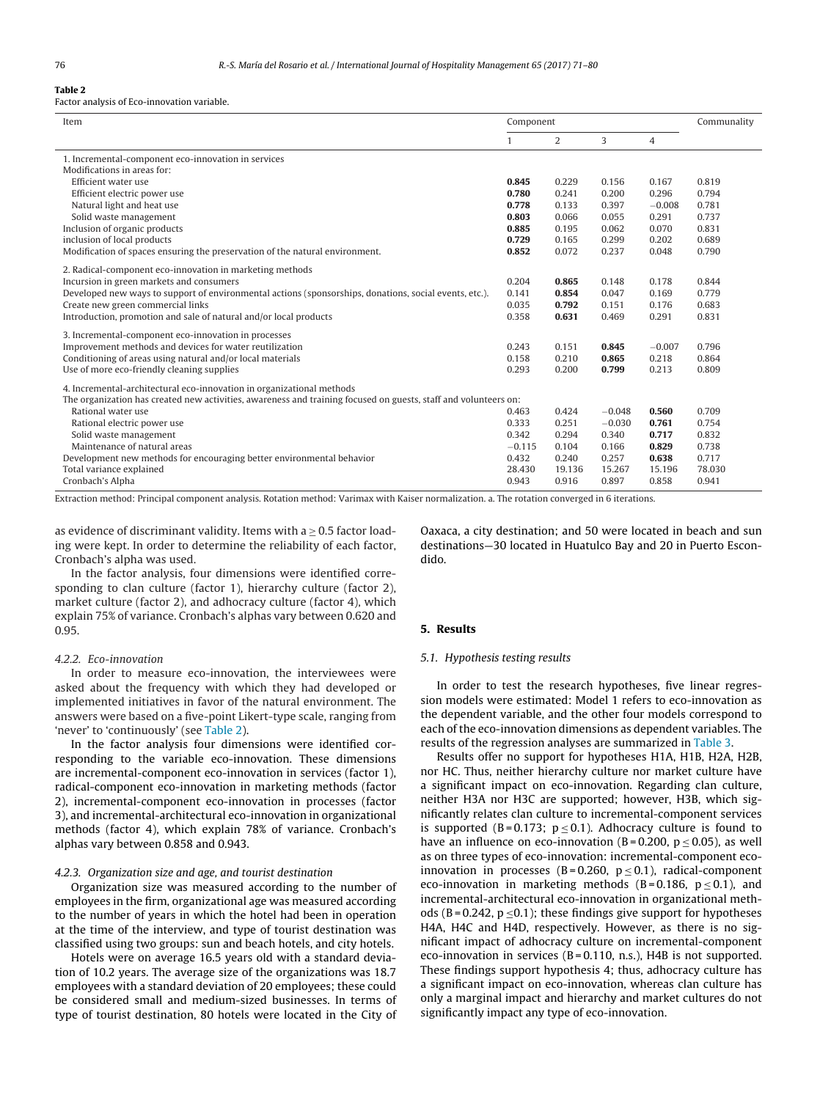# **Table 2**

Factor analysis of Eco-innovation variable.

| Item                                                                                                            | Component |        |          | Communality |        |
|-----------------------------------------------------------------------------------------------------------------|-----------|--------|----------|-------------|--------|
|                                                                                                                 |           | 2      | 3        | 4           |        |
| 1. Incremental-component eco-innovation in services                                                             |           |        |          |             |        |
| Modifications in areas for:                                                                                     |           |        |          |             |        |
| Efficient water use                                                                                             | 0.845     | 0.229  | 0.156    | 0.167       | 0.819  |
| Efficient electric power use                                                                                    | 0.780     | 0.241  | 0.200    | 0.296       | 0.794  |
| Natural light and heat use                                                                                      | 0.778     | 0.133  | 0.397    | $-0.008$    | 0.781  |
| Solid waste management                                                                                          | 0.803     | 0.066  | 0.055    | 0.291       | 0.737  |
| Inclusion of organic products                                                                                   | 0.885     | 0.195  | 0.062    | 0.070       | 0.831  |
| inclusion of local products                                                                                     | 0.729     | 0.165  | 0.299    | 0.202       | 0.689  |
| Modification of spaces ensuring the preservation of the natural environment.                                    | 0.852     | 0.072  | 0.237    | 0.048       | 0.790  |
| 2. Radical-component eco-innovation in marketing methods                                                        |           |        |          |             |        |
| Incursion in green markets and consumers                                                                        | 0.204     | 0.865  | 0.148    | 0.178       | 0.844  |
| Developed new ways to support of environmental actions (sponsorships, donations, social events, etc.).          | 0.141     | 0.854  | 0.047    | 0.169       | 0.779  |
| Create new green commercial links                                                                               | 0.035     | 0.792  | 0.151    | 0.176       | 0.683  |
| Introduction, promotion and sale of natural and/or local products                                               | 0.358     | 0.631  | 0.469    | 0.291       | 0.831  |
|                                                                                                                 |           |        |          |             |        |
| 3. Incremental-component eco-innovation in processes                                                            |           |        |          |             |        |
| Improvement methods and devices for water reutilization                                                         | 0.243     | 0.151  | 0.845    | $-0.007$    | 0.796  |
| Conditioning of areas using natural and/or local materials                                                      | 0.158     | 0.210  | 0.865    | 0.218       | 0.864  |
| Use of more eco-friendly cleaning supplies                                                                      | 0.293     | 0.200  | 0.799    | 0.213       | 0.809  |
| 4. Incremental-architectural eco-innovation in organizational methods                                           |           |        |          |             |        |
| The organization has created new activities, awareness and training focused on guests, staff and volunteers on: |           |        |          |             |        |
| Rational water use                                                                                              | 0.463     | 0.424  | $-0.048$ | 0.560       | 0.709  |
| Rational electric power use                                                                                     | 0.333     | 0.251  | $-0.030$ | 0.761       | 0.754  |
| Solid waste management                                                                                          | 0.342     | 0.294  | 0.340    | 0.717       | 0.832  |
| Maintenance of natural areas                                                                                    | $-0.115$  | 0.104  | 0.166    | 0.829       | 0.738  |
| Development new methods for encouraging better environmental behavior                                           | 0.432     | 0.240  | 0.257    | 0.638       | 0.717  |
| Total variance explained                                                                                        | 28.430    | 19.136 | 15.267   | 15.196      | 78.030 |
| Cronbach's Alpha                                                                                                | 0.943     | 0.916  | 0.897    | 0.858       | 0.941  |

Extraction method: Principal component analysis. Rotation method: Varimax with Kaiser normalization. a. The rotation converged in 6 iterations.

as evidence of discriminant validity. Items with  $a \geq 0.5$  factor loading were kept. In order to determine the reliability of each factor, Cronbach's alpha was used.

In the factor analysis, four dimensions were identified corresponding to clan culture (factor 1), hierarchy culture (factor 2), market culture (factor 2), and adhocracy culture (factor 4), which explain 75% of variance. Cronbach's alphas vary between 0.620 and 0.95.

# 4.2.2. Eco-innovation

In order to measure eco-innovation, the interviewees were asked about the frequency with which they had developed or implemented initiatives in favor of the natural environment. The answers were based on a five-point Likert-type scale, ranging from 'never' to 'continuously' (see Table 2).

In the factor analysis four dimensions were identified corresponding to the variable eco-innovation. These dimensions are incremental-component eco-innovation in services (factor 1), radical-component eco-innovation in marketing methods (factor 2), incremental-component eco-innovation in processes (factor 3), and incremental-architectural eco-innovation in organizational methods (factor 4), which explain 78% of variance. Cronbach's alphas vary between 0.858 and 0.943.

#### 4.2.3. Organization size and age, and tourist destination

Organization size was measured according to the number of employees in the firm, organizational age was measured according to the number of years in which the hotel had been in operation at the time of the interview, and type of tourist destination was classified using two groups: sun and beach hotels, and city hotels.

Hotels were on average 16.5 years old with a standard deviation of 10.2 years. The average size of the organizations was 18.7 employees with a standard deviation of 20 employees; these could be considered small and medium-sized businesses. In terms of type of tourist destination, 80 hotels were located in the City of Oaxaca, a city destination; and 50 were located in beach and sun destinations—30 located in Huatulco Bay and 20 in Puerto Escondido.

# **5. Results**

#### 5.1. Hypothesis testing results

In order to test the research hypotheses, five linear regression models were estimated: Model 1 refers to eco-innovation as the dependent variable, and the other four models correspond to each of the eco-innovation dimensions as dependent variables. The results of the regression analyses are summarized in [Table](#page-6-0) 3.

Results offer no support for hypotheses H1A, H1B, H2A, H2B, nor HC. Thus, neither hierarchy culture nor market culture have a significant impact on eco-innovation. Regarding clan culture, neither H3A nor H3C are supported; however, H3B, which significantly relates clan culture to incremental-component services is supported (B=0.173;  $p \le 0.1$ ). Adhocracy culture is found to have an influence on eco-innovation (B = 0.200,  $p \le 0.05$ ), as well as on three types of eco-innovation: incremental-component ecoinnovation in processes (B=0.260,  $p \le 0.1$ ), radical-component eco-innovation in marketing methods (B=0.186,  $p \le 0.1$ ), and incremental-architectural eco-innovation in organizational methods (B = 0.242,  $p \le 0.1$ ); these findings give support for hypotheses H4A, H4C and H4D, respectively. However, as there is no significant impact of adhocracy culture on incremental-component eco-innovation in services  $(B = 0.110, n.s.)$ , H4B is not supported. These findings support hypothesis 4; thus, adhocracy culture has a significant impact on eco-innovation, whereas clan culture has only a marginal impact and hierarchy and market cultures do not significantly impact any type of eco-innovation.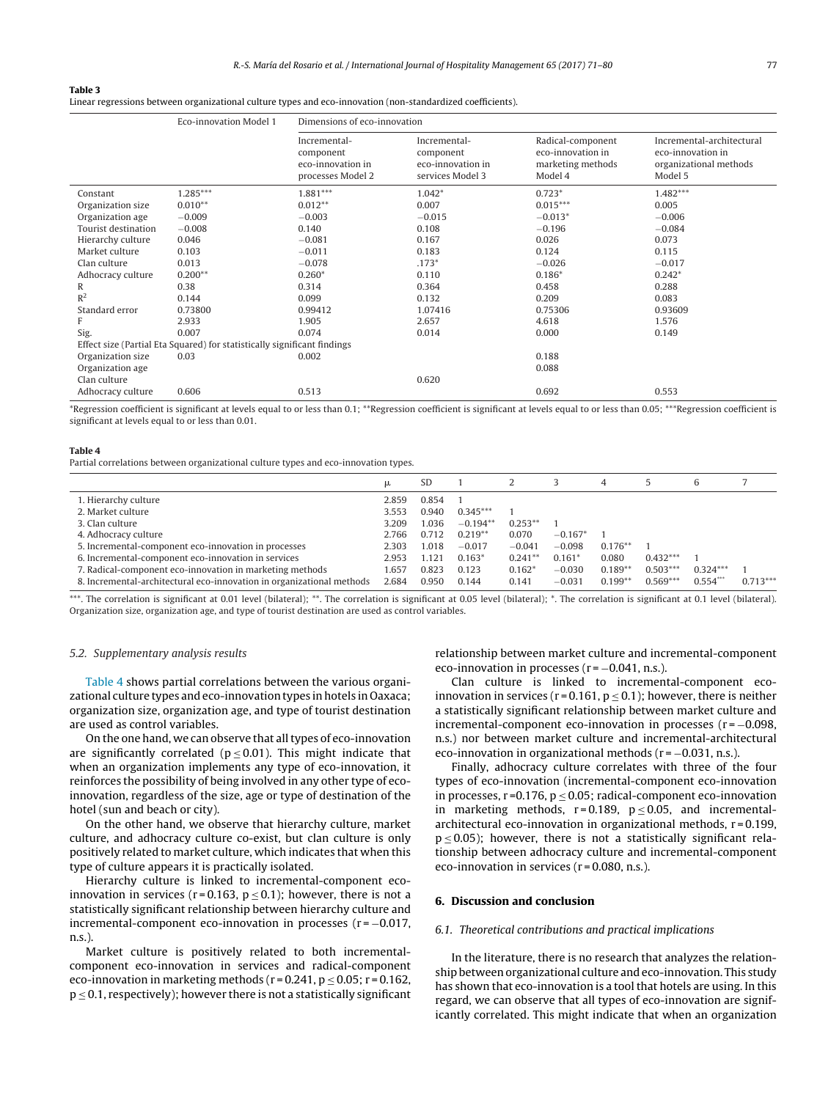#### <span id="page-6-0"></span>**Table 3**

Linear regressions between organizational culture types and eco-innovation (non-standardized coefficients).

|                                                                          | Eco-innovation Model 1 | Dimensions of eco-innovation                                        |                                                                    |                                                                        |                                                                                     |  |  |  |  |
|--------------------------------------------------------------------------|------------------------|---------------------------------------------------------------------|--------------------------------------------------------------------|------------------------------------------------------------------------|-------------------------------------------------------------------------------------|--|--|--|--|
|                                                                          |                        | Incremental-<br>component<br>eco-innovation in<br>processes Model 2 | Incremental-<br>component<br>eco-innovation in<br>services Model 3 | Radical-component<br>eco-innovation in<br>marketing methods<br>Model 4 | Incremental-architectural<br>eco-innovation in<br>organizational methods<br>Model 5 |  |  |  |  |
| Constant                                                                 | $1.285***$             | $1.881***$                                                          | $1.042*$                                                           | $0.723*$                                                               | $1.482***$                                                                          |  |  |  |  |
| Organization size                                                        | $0.010**$              | $0.012**$                                                           | 0.007                                                              | $0.015***$                                                             | 0.005                                                                               |  |  |  |  |
| Organization age                                                         | $-0.009$               | $-0.003$                                                            | $-0.015$                                                           | $-0.013*$                                                              | $-0.006$                                                                            |  |  |  |  |
| Tourist destination                                                      | $-0.008$               | 0.140                                                               | 0.108                                                              | $-0.196$                                                               | $-0.084$                                                                            |  |  |  |  |
| Hierarchy culture                                                        | 0.046                  | $-0.081$                                                            | 0.167                                                              | 0.026                                                                  | 0.073                                                                               |  |  |  |  |
| Market culture                                                           | 0.103                  | $-0.011$                                                            | 0.183                                                              | 0.124                                                                  | 0.115                                                                               |  |  |  |  |
| Clan culture                                                             | 0.013                  | $-0.078$                                                            | $.173*$                                                            | $-0.026$                                                               | $-0.017$                                                                            |  |  |  |  |
| Adhocracy culture                                                        | $0.200**$              | $0.260*$                                                            | 0.110                                                              | $0.186*$                                                               | $0.242*$                                                                            |  |  |  |  |
| R                                                                        | 0.38                   | 0.314                                                               | 0.364                                                              | 0.458                                                                  | 0.288                                                                               |  |  |  |  |
| $R^2$                                                                    | 0.144                  | 0.099                                                               | 0.132                                                              | 0.209                                                                  | 0.083                                                                               |  |  |  |  |
| Standard error                                                           | 0.73800                | 0.99412                                                             | 1.07416                                                            | 0.75306                                                                | 0.93609                                                                             |  |  |  |  |
| F                                                                        | 2.933                  | 1.905                                                               | 2.657                                                              | 4.618                                                                  | 1.576                                                                               |  |  |  |  |
| Sig.                                                                     | 0.007                  | 0.074                                                               | 0.014                                                              | 0.000                                                                  | 0.149                                                                               |  |  |  |  |
| Effect size (Partial Eta Squared) for statistically significant findings |                        |                                                                     |                                                                    |                                                                        |                                                                                     |  |  |  |  |
| Organization size                                                        | 0.03                   | 0.002                                                               |                                                                    | 0.188                                                                  |                                                                                     |  |  |  |  |
| Organization age                                                         |                        |                                                                     |                                                                    | 0.088                                                                  |                                                                                     |  |  |  |  |
| Clan culture                                                             |                        |                                                                     | 0.620                                                              |                                                                        |                                                                                     |  |  |  |  |
| Adhocracy culture                                                        | 0.606                  | 0.513                                                               |                                                                    | 0.692                                                                  | 0.553                                                                               |  |  |  |  |

\*Regression coefficient is significant at levels equal to or less than 0.1; \*\*Regression coefficient is significant at levels equal to or less than 0.05; \*\*\*Regression coefficient is significant at levels equal to or less than 0.01.

#### **Table 4**

Partial correlations between organizational culture types and eco-innovation types.

|                                                                       | μ     | <b>SD</b> |            |           |           | 4          |            | 6          |            |
|-----------------------------------------------------------------------|-------|-----------|------------|-----------|-----------|------------|------------|------------|------------|
| 1. Hierarchy culture                                                  | 2.859 | 0.854     |            |           |           |            |            |            |            |
| 2. Market culture                                                     | 3.553 | 0.940     | $0.345***$ |           |           |            |            |            |            |
| 3. Clan culture                                                       | 3.209 | 1.036     | $-0.194**$ | $0.253**$ |           |            |            |            |            |
| 4. Adhocracy culture                                                  | 2.766 | 0.712     | $0.219**$  | 0.070     | $-0.167*$ |            |            |            |            |
| 5. Incremental-component eco-innovation in processes                  | 2.303 | 1.018     | $-0.017$   | $-0.041$  | $-0.098$  | $0.176***$ |            |            |            |
| 6. Incremental-component eco-innovation in services                   | 2.953 | 1.121     | $0.163*$   | $0.241**$ | $0.161*$  | 0.080      | $0.432***$ |            |            |
| 7. Radical-component eco-innovation in marketing methods              | 1.657 | 0.823     | 0.123      | $0.162*$  | $-0.030$  | $0.189**$  | $0.503***$ | $0.324***$ |            |
| 8. Incremental-architectural eco-innovation in organizational methods | 2.684 | 0.950     | 0.144      | 0.141     | $-0.031$  | $0.199**$  | $0.569***$ | $0.554***$ | $0.713***$ |

\*\*\*. The correlation is significant at 0.01 level (bilateral); \*\*. The correlation is significant at 0.05 level (bilateral); \*. The correlation is significant at 0.1 level (bilateral). Organization size, organization age, and type of tourist destination are used as control variables.

#### 5.2. Supplementary analysis results

Table 4 shows partial correlations between the various organizational culture types and eco-innovation types in hotels in Oaxaca; organization size, organization age, and type of tourist destination are used as control variables.

On the one hand, we can observe that all types of eco-innovation are significantly correlated ( $p \le 0.01$ ). This might indicate that when an organization implements any type of eco-innovation, it reinforces the possibility of being involved in any other type of ecoinnovation, regardless of the size, age or type of destination of the hotel (sun and beach or city).

On the other hand, we observe that hierarchy culture, market culture, and adhocracy culture co-exist, but clan culture is only positively related to market culture, which indicates that when this type of culture appears it is practically isolated.

Hierarchy culture is linked to incremental-component ecoinnovation in services (r=0.163,  $p \le 0.1$ ); however, there is not a statistically significant relationship between hierarchy culture and incremental-component eco-innovation in processes  $(r = -0.017,$ n.s.).

Market culture is positively related to both incrementalcomponent eco-innovation in services and radical-component eco-innovation in marketing methods ( $r = 0.241$ ,  $p \le 0.05$ ;  $r = 0.162$ ,  $p \le 0.1$ , respectively); however there is not a statistically significant relationship between market culture and incremental-component eco-innovation in processes ( $r = -0.041$ , n.s.).

Clan culture is linked to incremental-component ecoinnovation in services ( $r = 0.161$ ,  $p \le 0.1$ ); however, there is neither a statistically significant relationship between market culture and incremental-component eco-innovation in processes  $(r = -0.098,$ n.s.) nor between market culture and incremental-architectural eco-innovation in organizational methods  $(r = -0.031, n.s.).$ 

Finally, adhocracy culture correlates with three of the four types of eco-innovation (incremental-component eco-innovation in processes,  $r = 0.176$ ,  $p \le 0.05$ ; radical-component eco-innovation in marketing methods,  $r = 0.189$ ,  $p \le 0.05$ , and incrementalarchitectural eco-innovation in organizational methods, r = 0.199,  $p \le 0.05$ ); however, there is not a statistically significant relationship between adhocracy culture and incremental-component eco-innovation in services ( $r = 0.080$ , n.s.).

#### **6. Discussion and conclusion**

#### 6.1. Theoretical contributions and practical implications

In the literature, there is no research that analyzes the relationship between organizational culture and eco-innovation. This study has shown that eco-innovation is a tool that hotels are using. In this regard, we can observe that all types of eco-innovation are significantly correlated. This might indicate that when an organization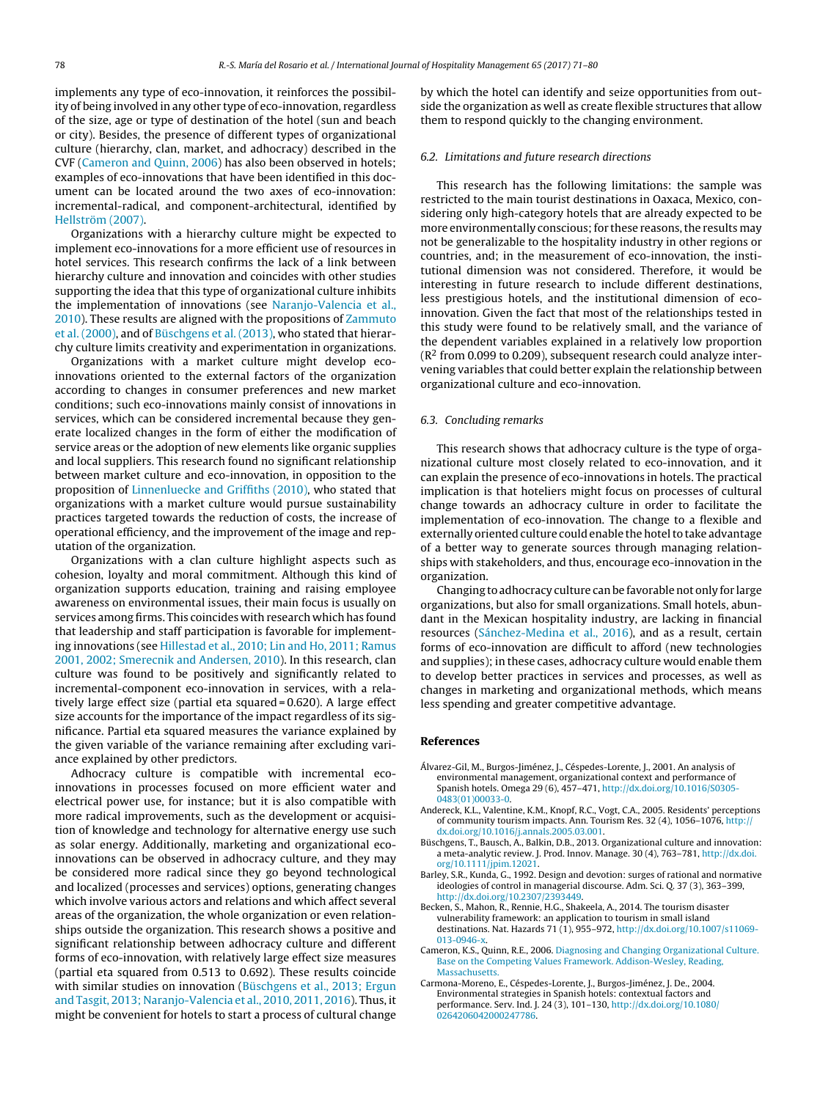<span id="page-7-0"></span>implements any type of eco-innovation, it reinforces the possibility of being involved in any other type of eco-innovation, regardless of the size, age or type of destination of the hotel (sun and beach or city). Besides, the presence of different types of organizational culture (hierarchy, clan, market, and adhocracy) described in the CVF (Cameron and Quinn, 2006) has also been observed in hotels; examples of eco-innovations that have been identified in this document can be located around the two axes of eco-innovation: incremental-radical, and component-architectural, identified by [Hellström](#page-8-0) [\(2007\).](#page-8-0)

Organizations with a hierarchy culture might be expected to implement eco-innovations for a more efficient use of resources in hotel services. This research confirms the lack of a link between hierarchy culture and innovation and coincides with other studies supporting the idea that this type of organizational culture inhibits the implementation of innovations (see [Naranjo-Valencia](#page-8-0) et [al.,](#page-8-0) [2010\).](#page-8-0) These results are aligned with the propositions of [Zammuto](#page-9-0) et [al.](#page-9-0) [\(2000\),](#page-9-0) and of Büschgens et al. (2013), who stated that hierarchy culture limits creativity and experimentation in organizations.

Organizations with a market culture might develop ecoinnovations oriented to the external factors of the organization according to changes in consumer preferences and new market conditions; such eco-innovations mainly consist of innovations in services, which can be considered incremental because they generate localized changes in the form of either the modification of service areas or the adoption of new elements like organic supplies and local suppliers. This research found no significant relationship between market culture and eco-innovation, in opposition to the proposition of [Linnenluecke](#page-8-0) [and](#page-8-0) [Griffiths](#page-8-0) [\(2010\),](#page-8-0) who stated that organizations with a market culture would pursue sustainability practices targeted towards the reduction of costs, the increase of operational efficiency, and the improvement of the image and reputation of the organization.

Organizations with a clan culture highlight aspects such as cohesion, loyalty and moral commitment. Although this kind of organization supports education, training and raising employee awareness on environmental issues, their main focus is usually on services among firms. This coincides with research which has found that leadership and staff participation is favorable for implementing innovations (see [Hillestad](#page-8-0) et [al.,](#page-8-0) [2010;](#page-8-0) [Lin](#page-8-0) [and](#page-8-0) [Ho,](#page-8-0) [2011;](#page-8-0) [Ramus](#page-8-0) [2001,](#page-8-0) [2002;](#page-8-0) [Smerecnik](#page-8-0) [and](#page-8-0) [Andersen,](#page-8-0) [2010\).](#page-8-0) In this research, clan culture was found to be positively and significantly related to incremental-component eco-innovation in services, with a relatively large effect size (partial eta squared = 0.620). A large effect size accounts for the importance of the impact regardless of its significance. Partial eta squared measures the variance explained by the given variable of the variance remaining after excluding variance explained by other predictors.

Adhocracy culture is compatible with incremental ecoinnovations in processes focused on more efficient water and electrical power use, for instance; but it is also compatible with more radical improvements, such as the development or acquisition of knowledge and technology for alternative energy use such as solar energy. Additionally, marketing and organizational ecoinnovations can be observed in adhocracy culture, and they may be considered more radical since they go beyond technological and localized (processes and services) options, generating changes which involve various actors and relations and which affect several areas of the organization, the whole organization or even relationships outside the organization. This research shows a positive and significant relationship between adhocracy culture and different forms of eco-innovation, with relatively large effect size measures (partial eta squared from 0.513 to 0.692). These results coincide with similar studies on innovation (Büschgens et al., 2013; Ergun and Tasgit, 2013; Naranjo-Valencia et al., 2010, 2011, 2016). Thus, it might be convenient for hotels to start a process of cultural change

by which the hotel can identify and seize opportunities from outside the organization as well as create flexible structures that allow them to respond quickly to the changing environment.

#### 6.2. Limitations and future research directions

This research has the following limitations: the sample was restricted to the main tourist destinations in Oaxaca, Mexico, considering only high-category hotels that are already expected to be more environmentally conscious; for these reasons, the results may not be generalizable to the hospitality industry in other regions or countries, and; in the measurement of eco-innovation, the institutional dimension was not considered. Therefore, it would be interesting in future research to include different destinations, less prestigious hotels, and the institutional dimension of ecoinnovation. Given the fact that most of the relationships tested in this study were found to be relatively small, and the variance of the dependent variables explained in a relatively low proportion  $(R<sup>2</sup>$  from 0.099 to 0.209), subsequent research could analyze intervening variables that could better explain the relationship between organizational culture and eco-innovation.

#### 6.3. Concluding remarks

This research shows that adhocracy culture is the type of organizational culture most closely related to eco-innovation, and it can explain the presence of eco-innovations in hotels. The practical implication is that hoteliers might focus on processes of cultural change towards an adhocracy culture in order to facilitate the implementation of eco-innovation. The change to a flexible and externally oriented culture could enable the hotel to take advantage of a better way to generate sources through managing relationships with stakeholders, and thus, encourage eco-innovation in the organization.

Changing to adhocracy culture canbe favorablenot only for large organizations, but also for small organizations. Small hotels, abundant in the Mexican hospitality industry, are lacking in financial resources [\(Sánchez-Medina](#page-8-0) et [al.,](#page-8-0) [2016\),](#page-8-0) and as a result, certain forms of eco-innovation are difficult to afford (new technologies and supplies); in these cases, adhocracy culture would enable them to develop better practices in services and processes, as well as changes in marketing and organizational methods, which means less spending and greater competitive advantage.

#### **References**

- Álvarez-Gil, M., Burgos-Jiménez, J., Céspedes-Lorente, J., 2001. An analysis of environmental management, organizational context and performance of Spanish hotels. Omega 29 (6), 457–471, [http://dx.doi.org/10.1016/S0305-](dx.doi.org/10.1016/S0305-0483(01)00033-0) [0483\(01\)00033-0.](dx.doi.org/10.1016/S0305-0483(01)00033-0)
- Andereck, K.L., Valentine, K.M., Knopf, R.C., Vogt, C.A., 2005. Residents' perceptions of community tourism impacts. Ann. Tourism Res. 32 (4), 1056–1076, [http://](dx.doi.org/10.1016/j.annals.2005.03.001) [dx.doi.org/10.1016/j.annals.2005.03.001.](dx.doi.org/10.1016/j.annals.2005.03.001)
- Büschgens, T., Bausch, A., Balkin, D.B., 2013. Organizational culture and innovation: a meta-analytic review. J. Prod. Innov. Manage. 30 (4), 763–781, [http://dx.doi.](dx.doi.org/10.1111/jpim.12021) [org/10.1111/jpim.12021.](dx.doi.org/10.1111/jpim.12021)
- Barley, S.R., Kunda, G., 1992. Design and devotion: surges of rational and normative ideologies of control in managerial discourse. Adm. Sci. Q. 37 (3), 363–399, [http://dx.doi.org/10.2307/2393449.](dx.doi.org/10.2307/2393449)
- Becken, S., Mahon, R., Rennie, H.G., Shakeela, A., 2014. The tourism disaster vulnerability framework: an application to tourism in small island destinations. Nat. Hazards 71 (1), 955–972, [http://dx.doi.org/10.1007/s11069-](dx.doi.org/10.1007/s11069-013-0946-x) [013-0946-x](dx.doi.org/10.1007/s11069-013-0946-x).
- Cameron, K.S., Quinn, R.E., 2006. [Diagnosing](http://refhub.elsevier.com/S0278-4319(16)30347-4/sbref0030) [and](http://refhub.elsevier.com/S0278-4319(16)30347-4/sbref0030) [Changing](http://refhub.elsevier.com/S0278-4319(16)30347-4/sbref0030) [Organizational](http://refhub.elsevier.com/S0278-4319(16)30347-4/sbref0030) [Culture.](http://refhub.elsevier.com/S0278-4319(16)30347-4/sbref0030) [Base](http://refhub.elsevier.com/S0278-4319(16)30347-4/sbref0030) [on](http://refhub.elsevier.com/S0278-4319(16)30347-4/sbref0030) [the](http://refhub.elsevier.com/S0278-4319(16)30347-4/sbref0030) [Competing](http://refhub.elsevier.com/S0278-4319(16)30347-4/sbref0030) [Values](http://refhub.elsevier.com/S0278-4319(16)30347-4/sbref0030) [Framework.](http://refhub.elsevier.com/S0278-4319(16)30347-4/sbref0030) [Addison-Wesley,](http://refhub.elsevier.com/S0278-4319(16)30347-4/sbref0030) [Reading,](http://refhub.elsevier.com/S0278-4319(16)30347-4/sbref0030) [Massachusetts.](http://refhub.elsevier.com/S0278-4319(16)30347-4/sbref0030)
- Carmona-Moreno, E., Céspedes-Lorente, J., Burgos-Jiménez, J. De., 2004. Environmental strategies in Spanish hotels: contextual factors and performance. Serv. Ind. J. 24 (3), 101–130, [http://dx.doi.org/10.1080/](dx.doi.org/10.1080/0264206042000247786) [0264206042000247786](dx.doi.org/10.1080/0264206042000247786).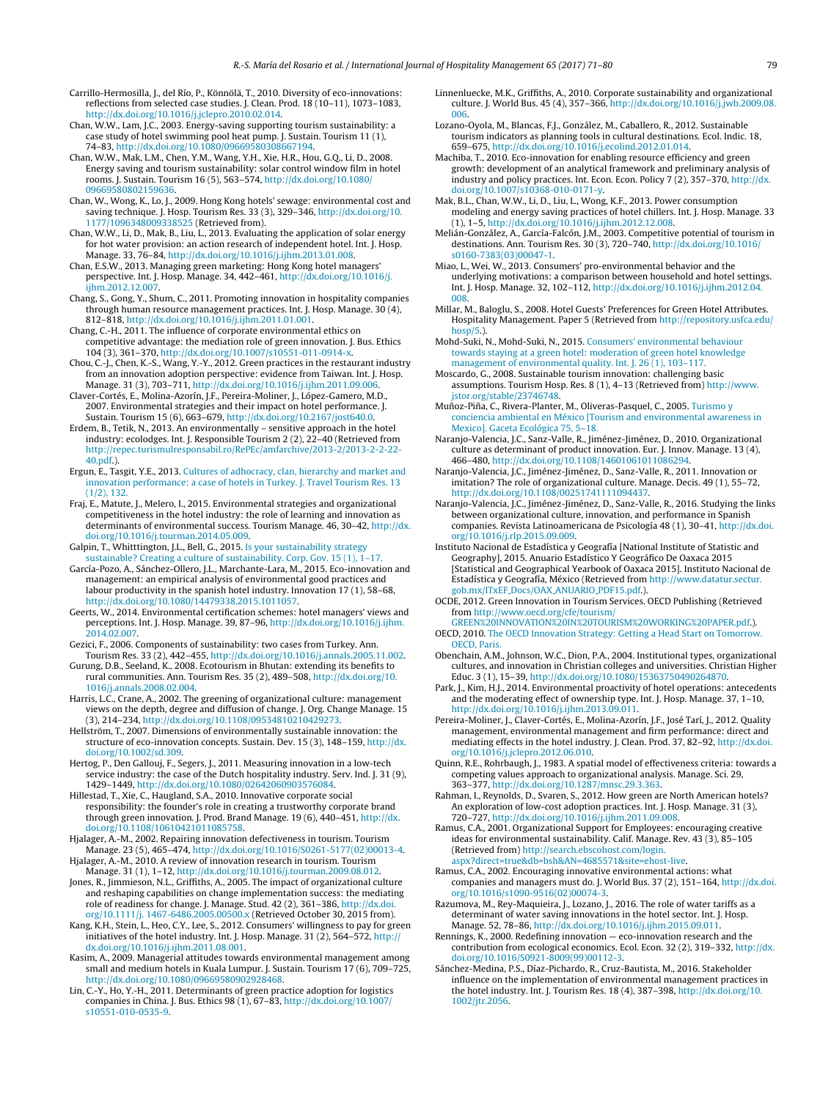<span id="page-8-0"></span>Carrillo-Hermosilla, J., del Río, P., Könnölä, T., 2010. Diversity of eco-innovations: reflections from selected case studies. J. Clean. Prod. 18 (10–11), 1073–1083, [http://dx.doi.org/10.1016/j.jclepro.2010.02.014](dx.doi.org/10.1016/j.jclepro.2010.02.014).

- Chan, W.W., Lam, J.C., 2003. Energy-saving supporting tourism sustainability: a case study of hotel swimming pool heat pump. J. Sustain. Tourism 11 (1), 74–83, [http://dx.doi.org/10.1080/09669580308667194.](dx.doi.org/10.1080/09669580308667194)
- Chan, W.W., Mak, L.M., Chen, Y.M., Wang, Y.H., Xie, H.R., Hou, G.Q., Li, D., 2008. Energy saving and tourism sustainability: solar control window film in hotel rooms. J. Sustain. Tourism 16 (5), 563–574, [http://dx.doi.org/10.1080/](dx.doi.org/10.1080/09669580802159636) [09669580802159636.](dx.doi.org/10.1080/09669580802159636)
- Chan, W., Wong, K., Lo, J., 2009. Hong Kong hotels' sewage: environmental cost and saving technique. J. Hosp. Tourism Res. 33 (3), 329–346, [http://dx.doi.org/10.](dx.doi.org/10.1177/1096348009338525) [1177/1096348009338525](dx.doi.org/10.1177/1096348009338525) (Retrieved from).
- Chan, W.W., Li, D., Mak, B., Liu, L., 2013. Evaluating the application of solar energy for hot water provision: an action research of independent hotel. Int. J. Hosp. Manage. 33, 76–84, [http://dx.doi.org/10.1016/j.ijhm.2013.01.008.](dx.doi.org/10.1016/j.ijhm.2013.01.008)
- Chan, E.S.W., 2013. Managing green marketing: Hong Kong hotel managers' perspective. Int. J. Hosp. Manage. 34, 442–461, [http://dx.doi.org/10.1016/j.](dx.doi.org/10.1016/j.ijhm.2012.12.007) [ijhm.2012.12.007](dx.doi.org/10.1016/j.ijhm.2012.12.007).
- Chang, S., Gong, Y., Shum, C., 2011. Promoting innovation in hospitality companies through human resource management practices. Int. J. Hosp. Manage. 30 (4), 812–818, [http://dx.doi.org/10.1016/j.ijhm.2011.01.001](dx.doi.org/10.1016/j.ijhm.2011.01.001).
- Chang, C.-H., 2011. The influence of corporate environmental ethics on competitive advantage: the mediation role of green innovation. J. Bus. Ethics 104 (3), 361–370, [http://dx.doi.org/10.1007/s10551-011-0914-x](dx.doi.org/10.1007/s10551-011-0914-x).
- Chou, C.-J., Chen, K.-S., Wang, Y.-Y., 2012. Green practices in the restaurant industry from an innovation adoption perspective: evidence from Taiwan. Int. J. Hosp. Manage. 31 (3), 703–711, [http://dx.doi.org/10.1016/j.ijhm.2011.09.006](dx.doi.org/10.1016/j.ijhm.2011.09.006).
- Claver-Cortés, E., Molina-Azorín, J.F., Pereira-Moliner, J., López-Gamero, M.D., 2007. Environmental strategies and their impact on hotel performance. J. Sustain. Tourism 15 (6), 663–679, [http://dx.doi.org/10.2167/jost640.0](dx.doi.org/10.2167/jost640.0).
- Erdem, B., Tetik, N., 2013. An environmentally sensitive approach in the hotel industry: ecolodges. Int. J. Responsible Tourism 2 (2), 22–40 (Retrieved from [http://repec.turismulresponsabil.ro/RePEc/amfarchive/2013-2/2013-2-2-22-](http://repec.turismulresponsabil.ro/RePEc/amfarchive/2013-2/2013-2-2-22-40.pdf) [40.pdf](http://repec.turismulresponsabil.ro/RePEc/amfarchive/2013-2/2013-2-2-22-40.pdf).).
- Ergun, E., Tasgit, Y.E., 2013. [Cultures](http://refhub.elsevier.com/S0278-4319(16)30347-4/sbref0095) [of](http://refhub.elsevier.com/S0278-4319(16)30347-4/sbref0095) [adhocracy,](http://refhub.elsevier.com/S0278-4319(16)30347-4/sbref0095) [clan,](http://refhub.elsevier.com/S0278-4319(16)30347-4/sbref0095) [hierarchy](http://refhub.elsevier.com/S0278-4319(16)30347-4/sbref0095) [and](http://refhub.elsevier.com/S0278-4319(16)30347-4/sbref0095) [market](http://refhub.elsevier.com/S0278-4319(16)30347-4/sbref0095) [and](http://refhub.elsevier.com/S0278-4319(16)30347-4/sbref0095) [innovation](http://refhub.elsevier.com/S0278-4319(16)30347-4/sbref0095) [performance:](http://refhub.elsevier.com/S0278-4319(16)30347-4/sbref0095) [a](http://refhub.elsevier.com/S0278-4319(16)30347-4/sbref0095) [case](http://refhub.elsevier.com/S0278-4319(16)30347-4/sbref0095) [of](http://refhub.elsevier.com/S0278-4319(16)30347-4/sbref0095) [hotels](http://refhub.elsevier.com/S0278-4319(16)30347-4/sbref0095) [in](http://refhub.elsevier.com/S0278-4319(16)30347-4/sbref0095) [Turkey.](http://refhub.elsevier.com/S0278-4319(16)30347-4/sbref0095) [J.](http://refhub.elsevier.com/S0278-4319(16)30347-4/sbref0095) [Travel](http://refhub.elsevier.com/S0278-4319(16)30347-4/sbref0095) [Tourism](http://refhub.elsevier.com/S0278-4319(16)30347-4/sbref0095) [Res.](http://refhub.elsevier.com/S0278-4319(16)30347-4/sbref0095) [13](http://refhub.elsevier.com/S0278-4319(16)30347-4/sbref0095)  $(1/2)$ , [132.](http://refhub.elsevier.com/S0278-4319(16)30347-4/sbref0095)
- Fraj, E., Matute, J., Melero, I., 2015. Environmental strategies and organizational competitiveness in the hotel industry: the role of learning and innovation as determinants of environmental success. Tourism Manage. 46, 30–42, [http://dx.](dx.doi.org/10.1016/j.tourman.2014.05.009) [doi.org/10.1016/j.tourman.2014.05.009.](dx.doi.org/10.1016/j.tourman.2014.05.009)
- Galpin, T., Whitttington, J.L., Bell, G., 2015. [Is](http://refhub.elsevier.com/S0278-4319(16)30347-4/sbref0105) [your](http://refhub.elsevier.com/S0278-4319(16)30347-4/sbref0105) [sustainability](http://refhub.elsevier.com/S0278-4319(16)30347-4/sbref0105) [strategy](http://refhub.elsevier.com/S0278-4319(16)30347-4/sbref0105)
- [sustainable?](http://refhub.elsevier.com/S0278-4319(16)30347-4/sbref0105) [Creating](http://refhub.elsevier.com/S0278-4319(16)30347-4/sbref0105) [a](http://refhub.elsevier.com/S0278-4319(16)30347-4/sbref0105) [culture](http://refhub.elsevier.com/S0278-4319(16)30347-4/sbref0105) [of](http://refhub.elsevier.com/S0278-4319(16)30347-4/sbref0105) [sustainability.](http://refhub.elsevier.com/S0278-4319(16)30347-4/sbref0105) [Corp.](http://refhub.elsevier.com/S0278-4319(16)30347-4/sbref0105) [Gov.](http://refhub.elsevier.com/S0278-4319(16)30347-4/sbref0105) [15](http://refhub.elsevier.com/S0278-4319(16)30347-4/sbref0105) [\(1\),](http://refhub.elsevier.com/S0278-4319(16)30347-4/sbref0105) [1–17.](http://refhub.elsevier.com/S0278-4319(16)30347-4/sbref0105) García-Pozo, A., Sánchez-Ollero, J.L., Marchante-Lara, M., 2015. Eco-innovation and management: an empirical analysis of environmental good practices and labour productivity in the spanish hotel industry. Innovation 17 (1), 58–68, [http://dx.doi.org/10.1080/14479338.2015.1011057](dx.doi.org/10.1080/14479338.2015.1011057).
- Geerts, W., 2014. Environmental certification schemes: hotel managers' views and perceptions. Int. J. Hosp. Manage. 39, 87–96, [http://dx.doi.org/10.1016/j.ijhm.](dx.doi.org/10.1016/j.ijhm.2014.02.007) [2014.02.007](dx.doi.org/10.1016/j.ijhm.2014.02.007).
- Gezici, F., 2006. Components of sustainability: two cases from Turkey. Ann. Tourism Res. 33 (2), 442–455, [http://dx.doi.org/10.1016/j.annals.2005.11.002.](dx.doi.org/10.1016/j.annals.2005.11.002)
- Gurung, D.B., Seeland, K., 2008. Ecotourism in Bhutan: extending its benefits to rural communities. Ann. Tourism Res. 35 (2), 489–508, [http://dx.doi.org/10.](dx.doi.org/10.1016/j.annals.2008.02.004) [1016/j.annals.2008.02.004.](dx.doi.org/10.1016/j.annals.2008.02.004)
- Harris, L.C., Crane, A., 2002. The greening of organizational culture: management views on the depth, degree and diffusion of change. J. Org. Change Manage. 15 (3), 214–234, [http://dx.doi.org/10.1108/09534810210429273.](dx.doi.org/10.1108/09534810210429273)
- Hellström, T., 2007. Dimensions of environmentally sustainable innovation: the structure of eco-innovation concepts. Sustain. Dev. 15 (3), 148–159, [http://dx.](dx.doi.org/10.1002/sd.309) [doi.org/10.1002/sd.309](dx.doi.org/10.1002/sd.309).
- Hertog, P., Den Gallouj, F., Segers, J., 2011. Measuring innovation in a low-tech service industry: the case of the Dutch hospitality industry. Serv. Ind. J. 31 (9), 1429–1449, [http://dx.doi.org/10.1080/02642060903576084](dx.doi.org/10.1080/02642060903576084).
- Hillestad, T., Xie, C., Haugland, S.A., 2010. Innovative corporate social responsibility: the founder's role in creating a trustworthy corporate brand through green innovation. J. Prod. Brand Manage. 19 (6), 440–451, [http://dx.](dx.doi.org/10.1108/10610421011085758) [doi.org/10.1108/10610421011085758](dx.doi.org/10.1108/10610421011085758).
- Hjalager, A.-M., 2002. Repairing innovation defectiveness in tourism. Tourism Manage. 23 (5), 465–474, [http://dx.doi.org/10.1016/S0261-5177\(02\)00013-4](dx.doi.org/10.1016/S0261-5177(02)00013-4).
- Hjalager, A.-M., 2010. A review of innovation research in tourism. Tourism Manage. 31 (1), 1–12, [http://dx.doi.org/10.1016/j.tourman.2009.08.012.](dx.doi.org/10.1016/j.tourman.2009.08.012)
- Jones, R., Jimmieson, N.L., Griffiths, A., 2005. The impact of organizational culture and reshaping capabilities on change implementation success: the mediating role of readiness for change. J. Manage. Stud. 42 (2), 361–386, [http://dx.doi.](dx.doi.org/10.1111/j. 1467-6486.2005.00500.x) [org/10.1111/j.](dx.doi.org/10.1111/j. 1467-6486.2005.00500.x) [1467-6486.2005.00500.x](dx.doi.org/10.1111/j. 1467-6486.2005.00500.x) (Retrieved October 30, 2015 from).
- Kang, K.H., Stein, L., Heo, C.Y., Lee, S., 2012. Consumers' willingness to pay for green initiatives of the hotel industry. Int. J. Hosp. Manage. 31 (2), 564–572, [http://](dx.doi.org/10.1016/j.ijhm.2011.08.001) <dx.doi.org/10.1016/j.ijhm.2011.08.001>.
- Kasim, A., 2009. Managerial attitudes towards environmental management among small and medium hotels in Kuala Lumpur. J. Sustain. Tourism 17 (6), 709–725, [http://dx.doi.org/10.1080/09669580902928468.](dx.doi.org/10.1080/09669580902928468)
- Lin, C.-Y., Ho, Y.-H., 2011. Determinants of green practice adoption for logistics companies in China. J. Bus. Ethics 98 (1), 67–83, [http://dx.doi.org/10.1007/](dx.doi.org/10.1007/s10551-010-0535-9) [s10551-010-0535-9.](dx.doi.org/10.1007/s10551-010-0535-9)
- Linnenluecke, M.K., Griffiths, A., 2010. Corporate sustainability and organizational culture. J. World Bus. 45 (4), 357–366, [http://dx.doi.org/10.1016/j.jwb.2009.08.](dx.doi.org/10.1016/j.jwb.2009.08.006) [006.](dx.doi.org/10.1016/j.jwb.2009.08.006)
- Lozano-Oyola, M., Blancas, F.J., González, M., Caballero, R., 2012. Sustainable tourism indicators as planning tools in cultural destinations. Ecol. Indic. 18, 659–675, [http://dx.doi.org/10.1016/j.ecolind.2012.01.014](dx.doi.org/10.1016/j.ecolind.2012.01.014).
- Machiba, T., 2010. Eco-innovation for enabling resource efficiency and green growth: development of an analytical framework and preliminary analysis of industry and policy practices. Int. Econ. Econ. Policy 7 (2), 357–370, [http://dx.](dx.doi.org/10.1007/s10368-010-0171-y) [doi.org/10.1007/s10368-010-0171-y](dx.doi.org/10.1007/s10368-010-0171-y).
- Mak, B.L., Chan, W.W., Li, D., Liu, L., Wong, K.F., 2013. Power consumption modeling and energy saving practices of hotel chillers. Int. J. Hosp. Manage. 33 (1), 1–5, [http://dx.doi.org/10.1016/j.ijhm.2012.12.008](dx.doi.org/10.1016/j.ijhm.2012.12.008).
- Melián-González, A., García-Falcón, J.M., 2003. Competitive potential of tourism in destinations. Ann. Tourism Res. 30 (3), 720–740, [http://dx.doi.org/10.1016/](dx.doi.org/10.1016/s0160-7383(03)00047-1) [s0160-7383\(03\)00047-1.](dx.doi.org/10.1016/s0160-7383(03)00047-1)
- Miao, L., Wei, W., 2013. Consumers' pro-environmental behavior and the underlying motivations: a comparison between household and hotel settings. Int. J. Hosp. Manage. 32, 102–112, [http://dx.doi.org/10.1016/j.ijhm.2012.04.](dx.doi.org/10.1016/j.ijhm.2012.04.008) [008.](dx.doi.org/10.1016/j.ijhm.2012.04.008)
- Millar, M., Baloglu, S., 2008. Hotel Guests' Preferences for Green Hotel Attributes. Hospitality Management. Paper 5 (Retrieved from [http://repository.usfca.edu/](http://repository.usfca.edu/hosp/5)  $hosp(5)$ .
- Mohd-Suki, N., Mohd-Suki, N., 2015. [Consumers'](http://refhub.elsevier.com/S0278-4319(16)30347-4/sbref0215) [environmental](http://refhub.elsevier.com/S0278-4319(16)30347-4/sbref0215) [behaviour](http://refhub.elsevier.com/S0278-4319(16)30347-4/sbref0215) [towards](http://refhub.elsevier.com/S0278-4319(16)30347-4/sbref0215) [staying](http://refhub.elsevier.com/S0278-4319(16)30347-4/sbref0215) [at](http://refhub.elsevier.com/S0278-4319(16)30347-4/sbref0215) [a](http://refhub.elsevier.com/S0278-4319(16)30347-4/sbref0215) [green](http://refhub.elsevier.com/S0278-4319(16)30347-4/sbref0215) [hotel:](http://refhub.elsevier.com/S0278-4319(16)30347-4/sbref0215) [moderation](http://refhub.elsevier.com/S0278-4319(16)30347-4/sbref0215) [of](http://refhub.elsevier.com/S0278-4319(16)30347-4/sbref0215) [green](http://refhub.elsevier.com/S0278-4319(16)30347-4/sbref0215) [hotel](http://refhub.elsevier.com/S0278-4319(16)30347-4/sbref0215) [knowledge](http://refhub.elsevier.com/S0278-4319(16)30347-4/sbref0215) [management](http://refhub.elsevier.com/S0278-4319(16)30347-4/sbref0215) [of](http://refhub.elsevier.com/S0278-4319(16)30347-4/sbref0215) [environmental](http://refhub.elsevier.com/S0278-4319(16)30347-4/sbref0215) [quality.](http://refhub.elsevier.com/S0278-4319(16)30347-4/sbref0215) [Int.](http://refhub.elsevier.com/S0278-4319(16)30347-4/sbref0215) [J.](http://refhub.elsevier.com/S0278-4319(16)30347-4/sbref0215) [26](http://refhub.elsevier.com/S0278-4319(16)30347-4/sbref0215) [\(1\),](http://refhub.elsevier.com/S0278-4319(16)30347-4/sbref0215) [103](http://refhub.elsevier.com/S0278-4319(16)30347-4/sbref0215)–[117.](http://refhub.elsevier.com/S0278-4319(16)30347-4/sbref0215)
- Moscardo, G., 2008. Sustainable tourism innovation: challenging basic assumptions. Tourism Hosp. Res. 8 (1), 4–13 (Retrieved from) [http://www.](http://www.jstor.org/stable/23746748) [jstor.org/stable/23746748](http://www.jstor.org/stable/23746748).
- Muñoz-Piña, C., Rivera-Planter, M., Oliveras-Pasquel, C., 2005. [Turismo](http://refhub.elsevier.com/S0278-4319(16)30347-4/sbref0225) [y](http://refhub.elsevier.com/S0278-4319(16)30347-4/sbref0225) [conciencia](http://refhub.elsevier.com/S0278-4319(16)30347-4/sbref0225) [ambiental](http://refhub.elsevier.com/S0278-4319(16)30347-4/sbref0225) [en](http://refhub.elsevier.com/S0278-4319(16)30347-4/sbref0225) [México](http://refhub.elsevier.com/S0278-4319(16)30347-4/sbref0225) [\[Tourism](http://refhub.elsevier.com/S0278-4319(16)30347-4/sbref0225) [and](http://refhub.elsevier.com/S0278-4319(16)30347-4/sbref0225) [environmental](http://refhub.elsevier.com/S0278-4319(16)30347-4/sbref0225) [awareness](http://refhub.elsevier.com/S0278-4319(16)30347-4/sbref0225) [in](http://refhub.elsevier.com/S0278-4319(16)30347-4/sbref0225) [Mexico\].](http://refhub.elsevier.com/S0278-4319(16)30347-4/sbref0225) [Gaceta](http://refhub.elsevier.com/S0278-4319(16)30347-4/sbref0225) [Ecológica](http://refhub.elsevier.com/S0278-4319(16)30347-4/sbref0225) [75,](http://refhub.elsevier.com/S0278-4319(16)30347-4/sbref0225) [5](http://refhub.elsevier.com/S0278-4319(16)30347-4/sbref0225)–[18.](http://refhub.elsevier.com/S0278-4319(16)30347-4/sbref0225)
- Naranjo-Valencia, J.C., Sanz-Valle, R., Jiménez-Jiménez, D., 2010. Organizational culture as determinant of product innovation. Eur. J. Innov. Manage. 13 (4), 466–480, [http://dx.doi.org/10.1108/14601061011086294](dx.doi.org/10.1108/14601061011086294).
- Naranjo-Valencia, J.C., Jiménez-Jiménez, D., Sanz-Valle, R., 2011. Innovation or imitation? The role of organizational culture. Manage. Decis. 49 (1), 55–72, [http://dx.doi.org/10.1108/00251741111094437](dx.doi.org/10.1108/00251741111094437).
- Naranjo-Valencia, J.C., Jiménez-Jiménez, D., Sanz-Valle, R., 2016. Studying the links between organizational culture, innovation, and performance in Spanish companies. Revista Latinoamericana de Psicología 48 (1), 30–41, [http://dx.doi.](dx.doi.org/10.1016/j.rlp.2015.09.009) [org/10.1016/j.rlp.2015.09.009.](dx.doi.org/10.1016/j.rlp.2015.09.009)
- Instituto Nacional de Estadística y Geografía [National Institute of Statistic and Geography], 2015. Anuario Estadístico Y Geográfico De Oaxaca 2015 [Statistical and Geographical Yearbook of Oaxaca 2015]. Instituto Nacional de Estadística y Geografía, México (Retrieved from [http://www.datatur.sectur.](http://www.datatur.sectur.gob.mx/ITxEF_Docs/OAX_ANUARIO_PDF15.pdf) [gob.mx/ITxEF](http://www.datatur.sectur.gob.mx/ITxEF_Docs/OAX_ANUARIO_PDF15.pdf) [Docs/OAX](http://www.datatur.sectur.gob.mx/ITxEF_Docs/OAX_ANUARIO_PDF15.pdf) [ANUARIO](http://www.datatur.sectur.gob.mx/ITxEF_Docs/OAX_ANUARIO_PDF15.pdf) [PDF15.pdf.](http://www.datatur.sectur.gob.mx/ITxEF_Docs/OAX_ANUARIO_PDF15.pdf)).
- OCDE, 2012. Green Innovation in Tourism Services. OECD Publishing (Retrieved from [http://www.oecd.org/cfe/tourism/](http://www.oecd.org/cfe/tourism/GREEN INNOVATION IN TOURISM WORKING PAPER.pdf)
- [GREEN%20INNOVATION%20IN%20TOURISM%20WORKING%20PAPER.pdf](http://www.oecd.org/cfe/tourism/GREEN INNOVATION IN TOURISM WORKING PAPER.pdf).). OECD, 2010. [The](http://refhub.elsevier.com/S0278-4319(16)30347-4/sbref0255) [OECD](http://refhub.elsevier.com/S0278-4319(16)30347-4/sbref0255) [Innovation](http://refhub.elsevier.com/S0278-4319(16)30347-4/sbref0255) [Strategy:](http://refhub.elsevier.com/S0278-4319(16)30347-4/sbref0255) [Getting](http://refhub.elsevier.com/S0278-4319(16)30347-4/sbref0255) [a](http://refhub.elsevier.com/S0278-4319(16)30347-4/sbref0255) [Head](http://refhub.elsevier.com/S0278-4319(16)30347-4/sbref0255) [Start](http://refhub.elsevier.com/S0278-4319(16)30347-4/sbref0255) [on](http://refhub.elsevier.com/S0278-4319(16)30347-4/sbref0255) [Tomorrow.](http://refhub.elsevier.com/S0278-4319(16)30347-4/sbref0255) [OECD,](http://refhub.elsevier.com/S0278-4319(16)30347-4/sbref0255) [Paris.](http://refhub.elsevier.com/S0278-4319(16)30347-4/sbref0255)
- Obenchain, A.M., Johnson, W.C., Dion, P.A., 2004. Institutional types, organizational cultures, and innovation in Christian colleges and universities. Christian Higher Educ. 3 (1), 15–39, [http://dx.doi.org/10.1080/15363750490264870.](dx.doi.org/10.1080/15363750490264870)
- Park, J., Kim, H.J., 2014. Environmental proactivity of hotel operations: antecedents and the moderating effect of ownership type. Int. J. Hosp. Manage. 37, 1–10, [http://dx.doi.org/10.1016/j.ijhm.2013.09.011.](dx.doi.org/10.1016/j.ijhm.2013.09.011)
- Pereira-Moliner, J., Claver-Cortés, E., Molina-Azorín, J.F., José Tarí, J., 2012. Quality management, environmental management and firm performance: direct and mediating effects in the hotel industry. J. Clean. Prod. 37, 82–92, [http://dx.doi.](dx.doi.org/10.1016/j.jclepro.2012.06.010) [org/10.1016/j.jclepro.2012.06.010](dx.doi.org/10.1016/j.jclepro.2012.06.010).
- Quinn, R.E., Rohrbaugh, J., 1983. A spatial model of effectiveness criteria: towards a competing values approach to organizational analysis. Manage. Sci. 29, 363–377, [http://dx.doi.org/10.1287/mnsc.29.3.363.](dx.doi.org/10.1287/mnsc.29.3.363)
- Rahman, I., Reynolds, D., Svaren, S., 2012. How green are North American hotels? An exploration of low-cost adoption practices. Int. J. Hosp. Manage. 31 (3), 720–727, [http://dx.doi.org/10.1016/j.ijhm.2011.09.008.](dx.doi.org/10.1016/j.ijhm.2011.09.008)
- Ramus, C.A., 2001. Organizational Support for Employees: encouraging creative ideas for environmental sustainability. Calif. Manage. Rev. 43 (3), 85–105 (Retrieved from) [http://search.ebscohost.com/login.](http://search.ebscohost.com/login.aspx?direct=true&db=bsh&AN=4685571&site=ehost-live) [aspx?direct=true&db=bsh&AN=4685571&site=ehost-live.](http://search.ebscohost.com/login.aspx?direct=true&db=bsh&AN=4685571&site=ehost-live)
- Ramus, C.A., 2002. Encouraging innovative environmental actions: what companies and managers must do. J. World Bus. 37 (2), 151–164, [http://dx.doi.](dx.doi.org/10.1016/s1090-9516(02)00074-3) [org/10.1016/s1090-9516\(02\)00074-3](dx.doi.org/10.1016/s1090-9516(02)00074-3).
- Razumova, M., Rey-Maquieira, J., Lozano, J., 2016. The role of water tariffs as a determinant of water saving innovations in the hotel sector. Int. J. Hosp. Manage. 52, 78–86, [http://dx.doi.org/10.1016/j.ijhm.2015.09.011](dx.doi.org/10.1016/j.ijhm.2015.09.011).
- Rennings, K., 2000. Redefining innovation eco-innovation research and the contribution from ecological economics. Ecol. Econ. 32 (2), 319-332, [http://dx.](dx.doi.org/10.1016/S0921-8009(99)00112-3) [doi.org/10.1016/S0921-8009\(99\)00112-3.](dx.doi.org/10.1016/S0921-8009(99)00112-3)
- Sánchez-Medina, P.S., Díaz-Pichardo, R., Cruz-Bautista, M., 2016. Stakeholder influence on the implementation of environmental management practices in the hotel industry. Int. J. Tourism Res. 18 (4), 387–398, [http://dx.doi.org/10.](dx.doi.org/10.1002/jtr.2056) [1002/jtr.2056.](dx.doi.org/10.1002/jtr.2056)